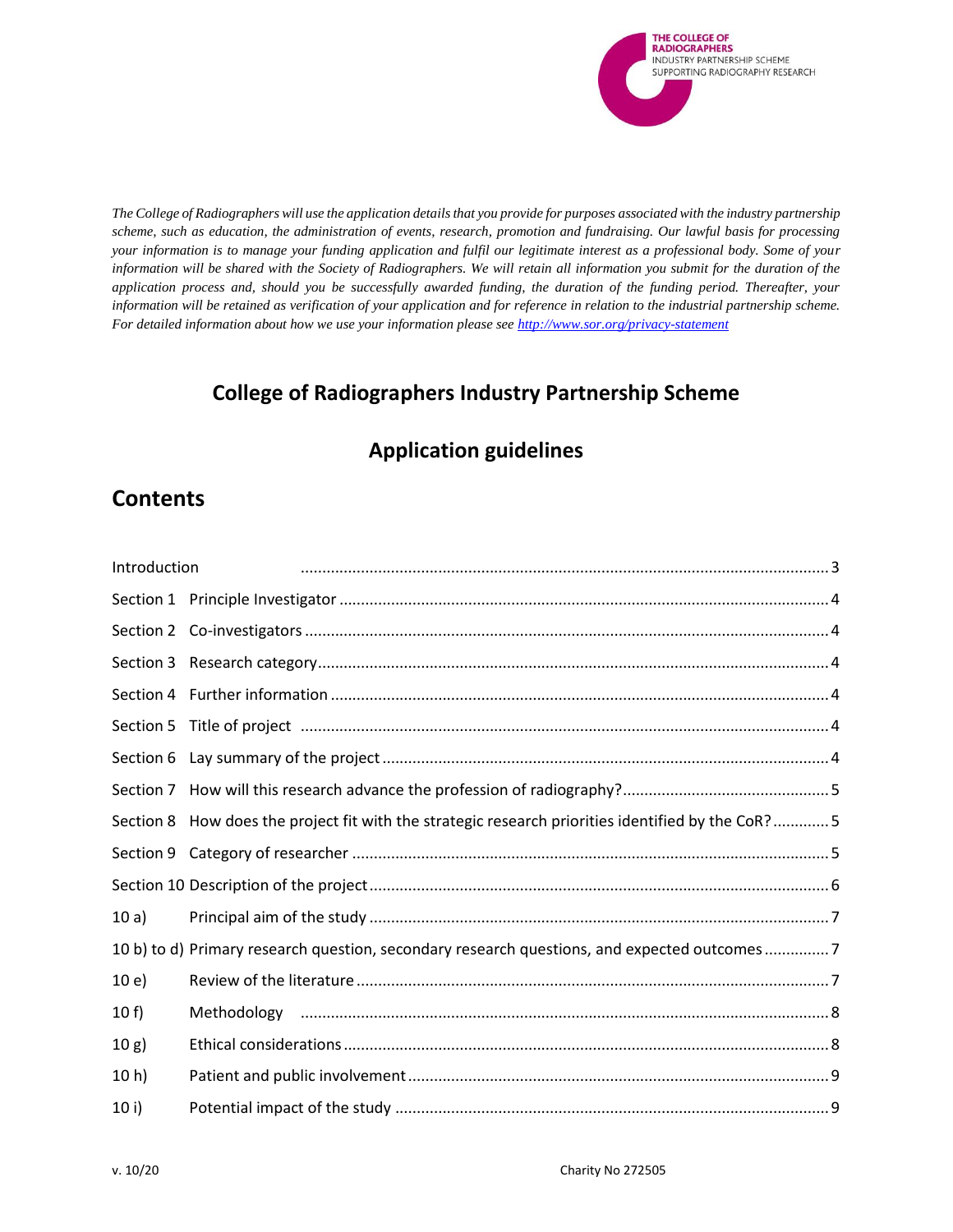

*The College of Radiographers will use the application details that you provide for purposes associated with the industry partnership scheme, such as education, the administration of events, research, promotion and fundraising. Our lawful basis for processing your information is to manage your funding application and fulfil our legitimate interest as a professional body. Some of your information will be shared with the Society of Radiographers. We will retain all information you submit for the duration of the application process and, should you be successfully awarded funding, the duration of the funding period. Thereafter, your information will be retained as verification of your application and for reference in relation to the industrial partnership scheme. For detailed information about how we use your information please se[e http://www.sor.org/privacy-statement](http://www.sor.org/privacy-statement)*

# **College of Radiographers Industry Partnership Scheme**

# **Application guidelines**

# **Contents**

| Introduction    |                                                                                                   |
|-----------------|---------------------------------------------------------------------------------------------------|
|                 |                                                                                                   |
|                 |                                                                                                   |
|                 |                                                                                                   |
|                 |                                                                                                   |
| Section 5       |                                                                                                   |
|                 |                                                                                                   |
|                 |                                                                                                   |
|                 | Section 8 How does the project fit with the strategic research priorities identified by the CoR?5 |
|                 |                                                                                                   |
|                 |                                                                                                   |
| 10a)            |                                                                                                   |
|                 | 10 b) to d) Primary research question, secondary research questions, and expected outcomes7       |
| 10e)            |                                                                                                   |
| 10 f            |                                                                                                   |
| 10 g)           |                                                                                                   |
| 10 <sub>h</sub> |                                                                                                   |
| 10 i            |                                                                                                   |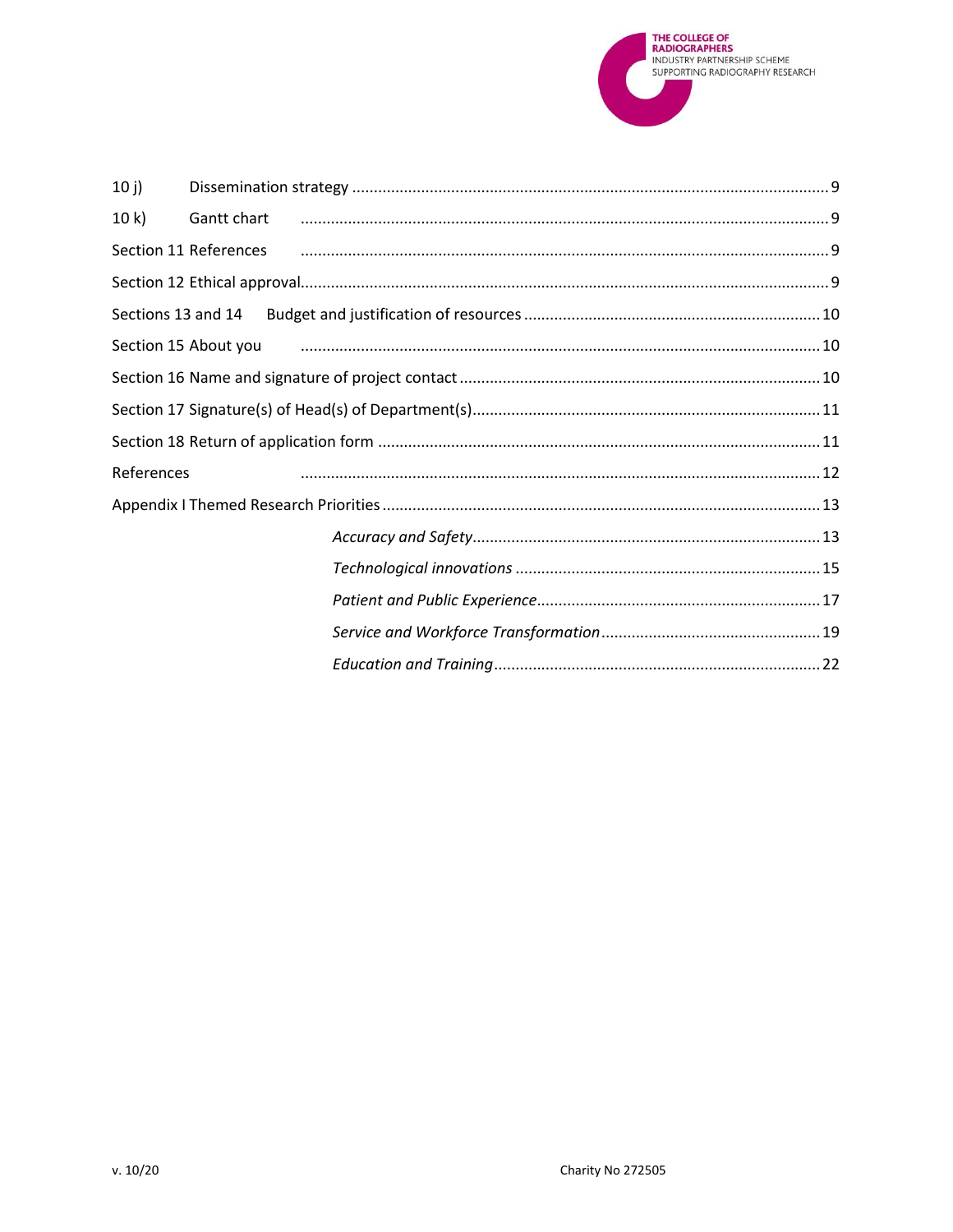

| 10j        |                                                                                     |  |
|------------|-------------------------------------------------------------------------------------|--|
| 10 k       |                                                                                     |  |
|            |                                                                                     |  |
|            |                                                                                     |  |
|            |                                                                                     |  |
|            | Section 15 About you 200 minimum minimum minimum minimum minimum minimum minimum 10 |  |
|            |                                                                                     |  |
|            |                                                                                     |  |
|            |                                                                                     |  |
| References |                                                                                     |  |
|            |                                                                                     |  |
|            |                                                                                     |  |
|            |                                                                                     |  |
|            |                                                                                     |  |
|            |                                                                                     |  |
|            |                                                                                     |  |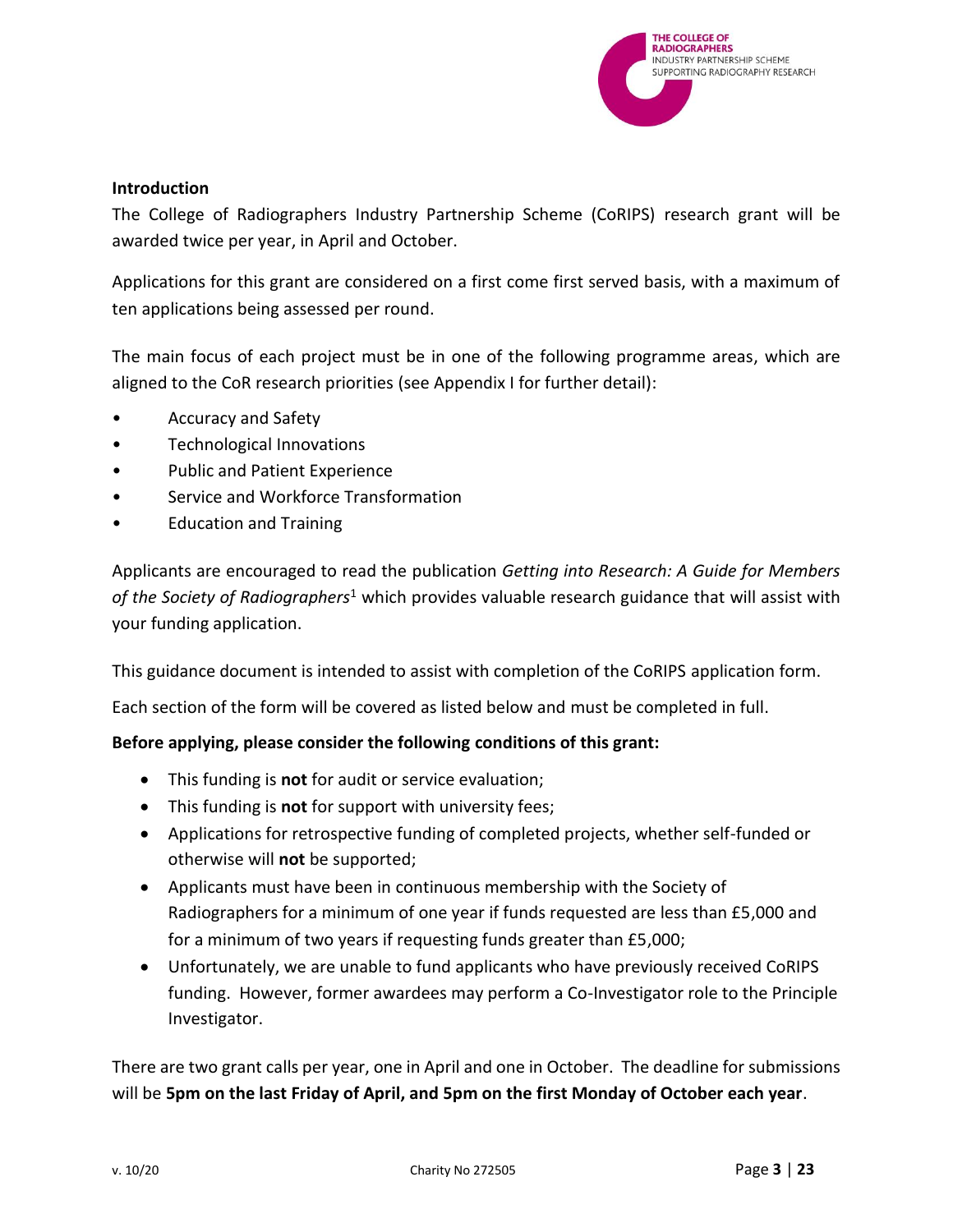

### <span id="page-2-0"></span>**Introduction**

The College of Radiographers Industry Partnership Scheme (CoRIPS) research grant will be awarded twice per year, in April and October.

Applications for this grant are considered on a first come first served basis, with a maximum of ten applications being assessed per round.

The main focus of each project must be in one of the following programme areas, which are aligned to the CoR research priorities (see Appendix I for further detail):

- Accuracy and Safety
- Technological Innovations
- Public and Patient Experience
- Service and Workforce Transformation
- Education and Training

Applicants are encouraged to read the publication *Getting into Research: A Guide for Members of the Society of Radiographers*<sup>1</sup> which provides valuable research guidance that will assist with your funding application.

This guidance document is intended to assist with completion of the CoRIPS application form.

Each section of the form will be covered as listed below and must be completed in full.

# **Before applying, please consider the following conditions of this grant:**

- This funding is **not** for audit or service evaluation;
- This funding is **not** for support with university fees;
- Applications for retrospective funding of completed projects, whether self-funded or otherwise will **not** be supported;
- Applicants must have been in continuous membership with the Society of Radiographers for a minimum of one year if funds requested are less than £5,000 and for a minimum of two years if requesting funds greater than £5,000;
- Unfortunately, we are unable to fund applicants who have previously received CoRIPS funding. However, former awardees may perform a Co-Investigator role to the Principle Investigator.

There are two grant calls per year, one in April and one in October. The deadline for submissions will be **5pm on the last Friday of April, and 5pm on the first Monday of October each year**.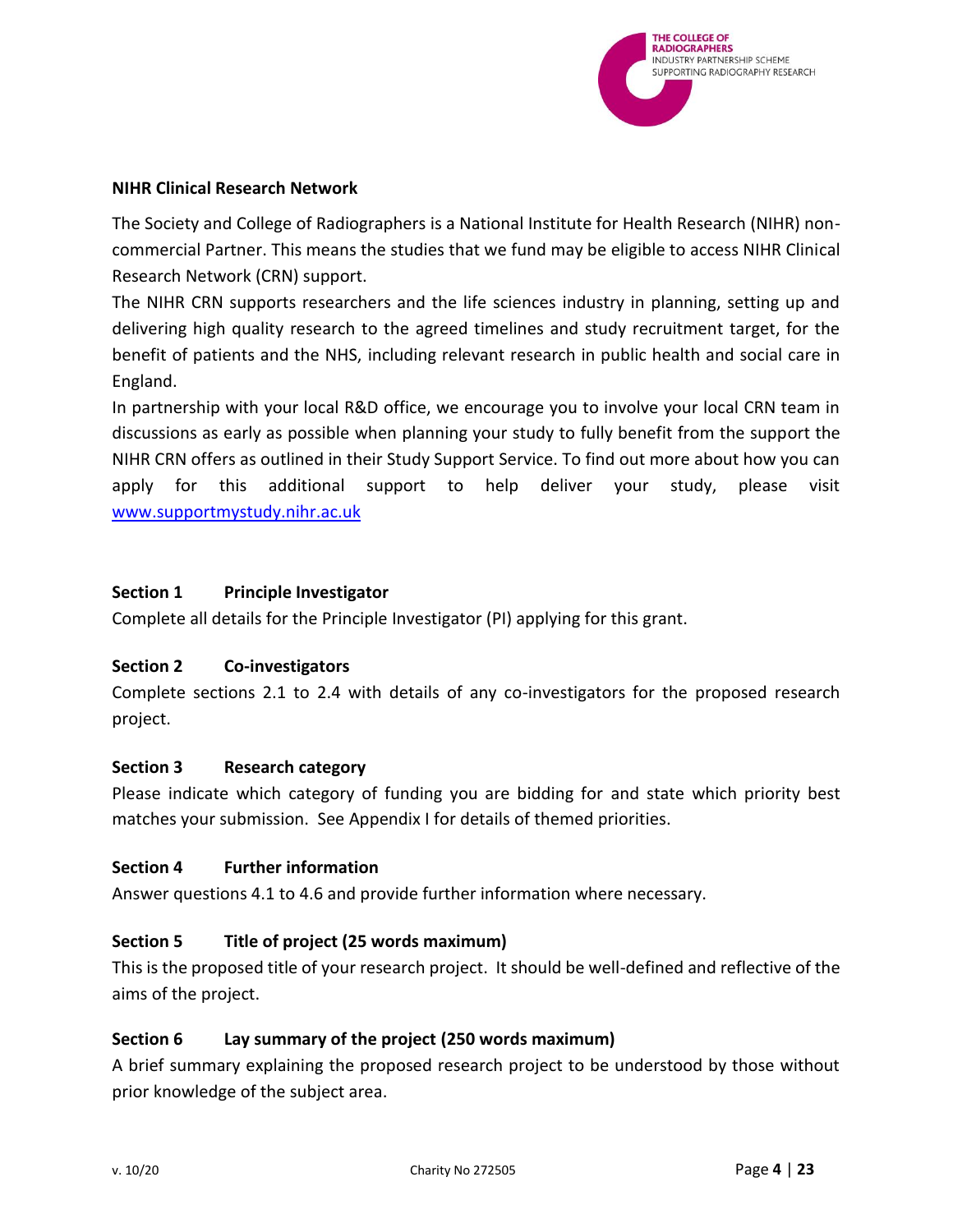

#### **NIHR Clinical Research Network**

The Society and College of Radiographers is a National Institute for Health Research (NIHR) noncommercial Partner. This means the studies that we fund may be eligible to access NIHR Clinical Research Network (CRN) support.

The NIHR CRN supports researchers and the life sciences industry in planning, setting up and delivering high quality research to the agreed timelines and study recruitment target, for the benefit of patients and the NHS, including relevant research in public health and social care in England.

In partnership with your local R&D office, we encourage you to involve your local CRN team in discussions as early as possible when planning your study to fully benefit from the support the NIHR CRN offers as outlined in their Study Support Service. To find out more about how you can apply for this additional support to help deliver your study, please visit [www.supportmystudy.nihr.ac.uk](http://www.supportmystudy.nihr.ac.uk/)

### <span id="page-3-0"></span>**Section 1 Principle Investigator**

Complete all details for the Principle Investigator (PI) applying for this grant.

# <span id="page-3-1"></span>**Section 2 Co-investigators**

Complete sections 2.1 to 2.4 with details of any co-investigators for the proposed research project.

# <span id="page-3-2"></span>**Section 3 Research category**

Please indicate which category of funding you are bidding for and state which priority best matches your submission. See Appendix I for details of themed priorities.

# <span id="page-3-3"></span>**Section 4 Further information**

Answer questions 4.1 to 4.6 and provide further information where necessary.

# <span id="page-3-4"></span>**Section 5 Title of project (25 words maximum)**

This is the proposed title of your research project. It should be well-defined and reflective of the aims of the project.

# <span id="page-3-5"></span>**Section 6 Lay summary of the project (250 words maximum)**

A brief summary explaining the proposed research project to be understood by those without prior knowledge of the subject area.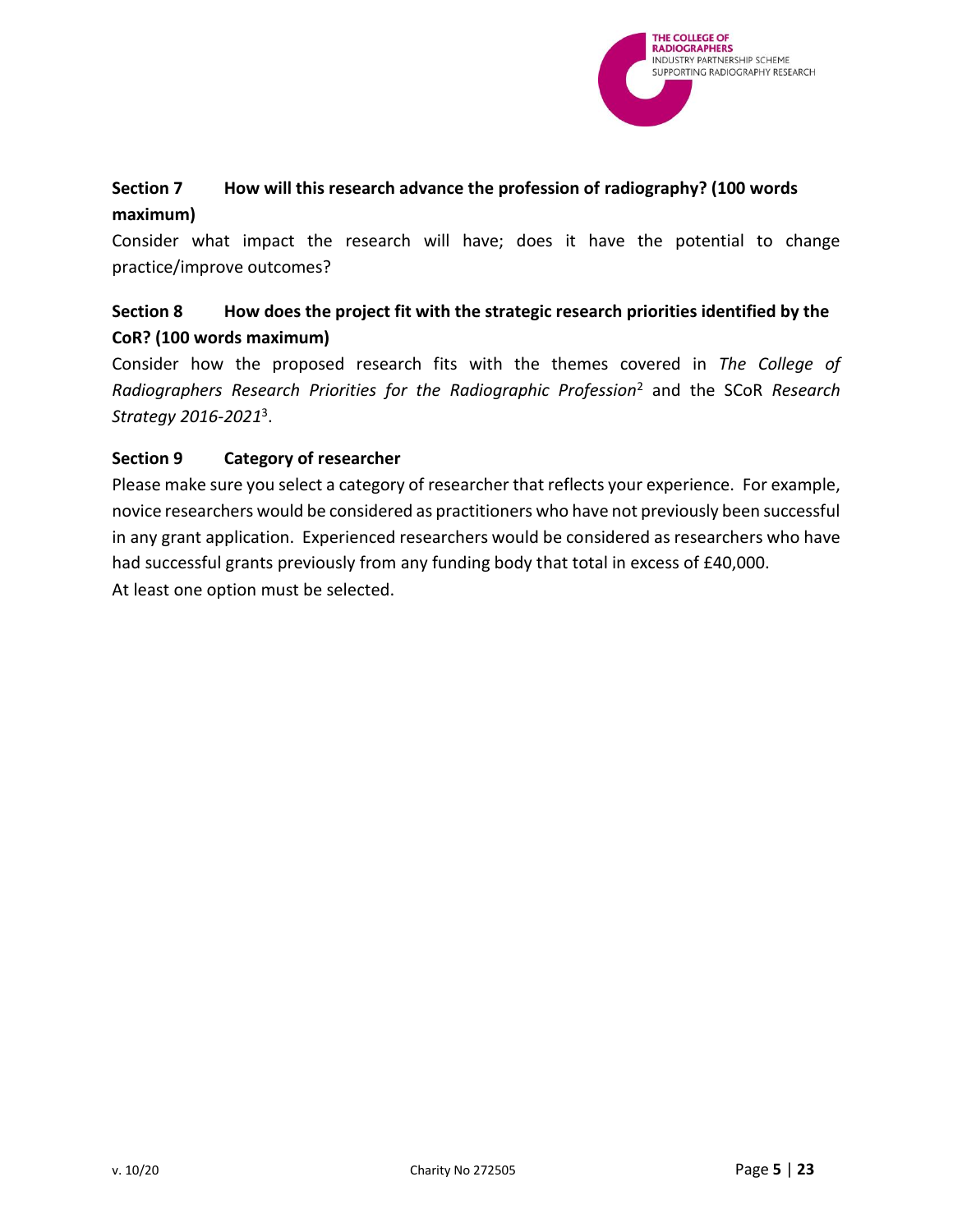

# <span id="page-4-0"></span>**Section 7 How will this research advance the profession of radiography? (100 words maximum)**

Consider what impact the research will have; does it have the potential to change practice/improve outcomes?

# <span id="page-4-1"></span>**Section 8 How does the project fit with the strategic research priorities identified by the CoR? (100 words maximum)**

Consider how the proposed research fits with the themes covered in *The College of Radiographers Research Priorities for the Radiographic Profession*<sup>2</sup> and the SCoR *Research Strategy 2016-2021*<sup>3</sup> .

# <span id="page-4-2"></span>**Section 9 Category of researcher**

Please make sure you select a category of researcher that reflects your experience. For example, novice researchers would be considered as practitioners who have not previously been successful in any grant application. Experienced researchers would be considered as researchers who have had successful grants previously from any funding body that total in excess of £40,000. At least one option must be selected.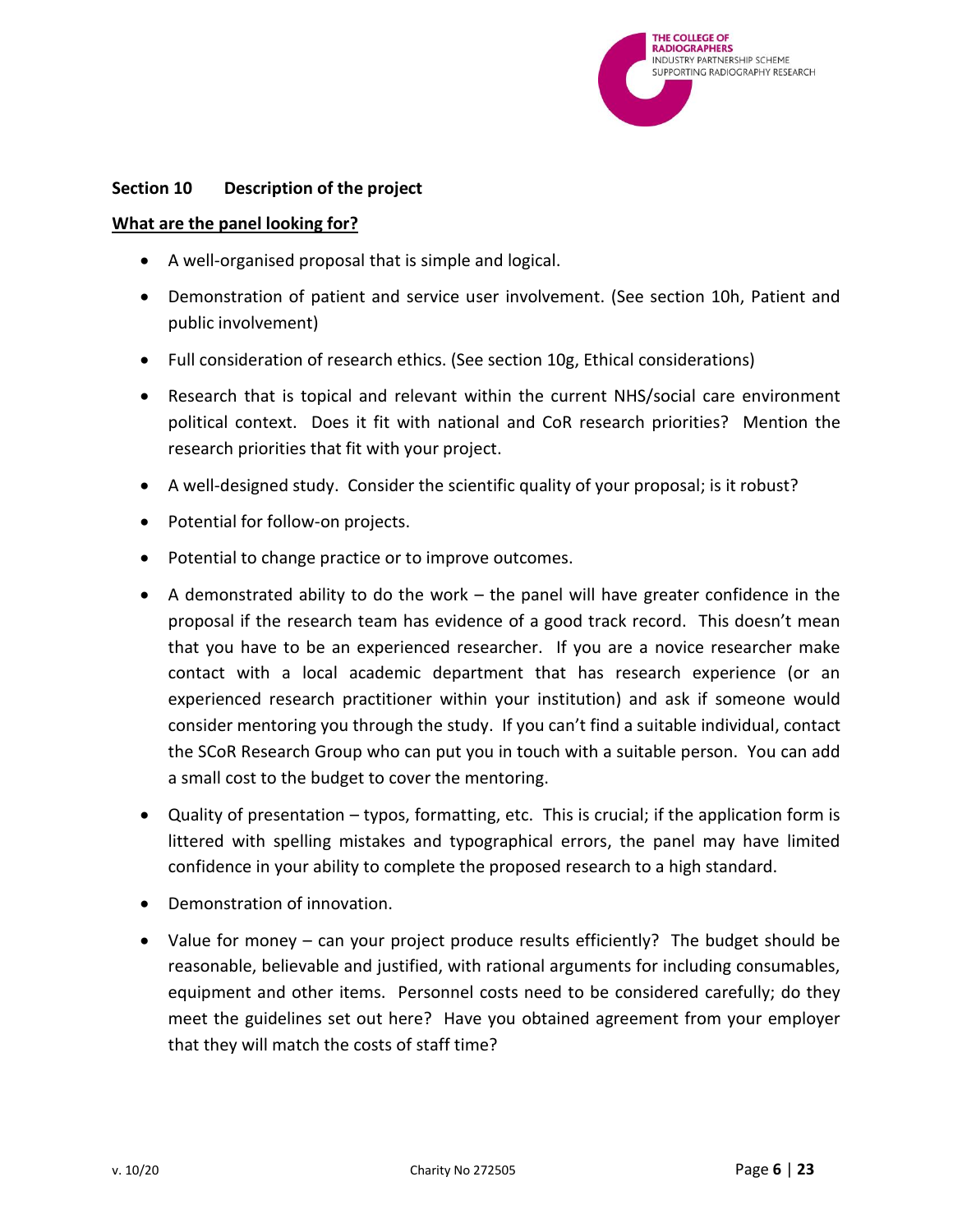

### <span id="page-5-0"></span>**Section 10 Description of the project**

#### **What are the panel looking for?**

- A well-organised proposal that is simple and logical.
- Demonstration of patient and service user involvement. (See section 10h, Patient and public involvement)
- Full consideration of research ethics. (See section 10g, Ethical considerations)
- Research that is topical and relevant within the current NHS/social care environment political context. Does it fit with national and CoR research priorities? Mention the research priorities that fit with your project.
- A well-designed study. Consider the scientific quality of your proposal; is it robust?
- Potential for follow-on projects.
- Potential to change practice or to improve outcomes.
- A demonstrated ability to do the work the panel will have greater confidence in the proposal if the research team has evidence of a good track record. This doesn't mean that you have to be an experienced researcher. If you are a novice researcher make contact with a local academic department that has research experience (or an experienced research practitioner within your institution) and ask if someone would consider mentoring you through the study. If you can't find a suitable individual, contact the SCoR Research Group who can put you in touch with a suitable person. You can add a small cost to the budget to cover the mentoring.
- Quality of presentation typos, formatting, etc. This is crucial; if the application form is littered with spelling mistakes and typographical errors, the panel may have limited confidence in your ability to complete the proposed research to a high standard.
- Demonstration of innovation.
- Value for money can your project produce results efficiently? The budget should be reasonable, believable and justified, with rational arguments for including consumables, equipment and other items. Personnel costs need to be considered carefully; do they meet the guidelines set out here? Have you obtained agreement from your employer that they will match the costs of staff time?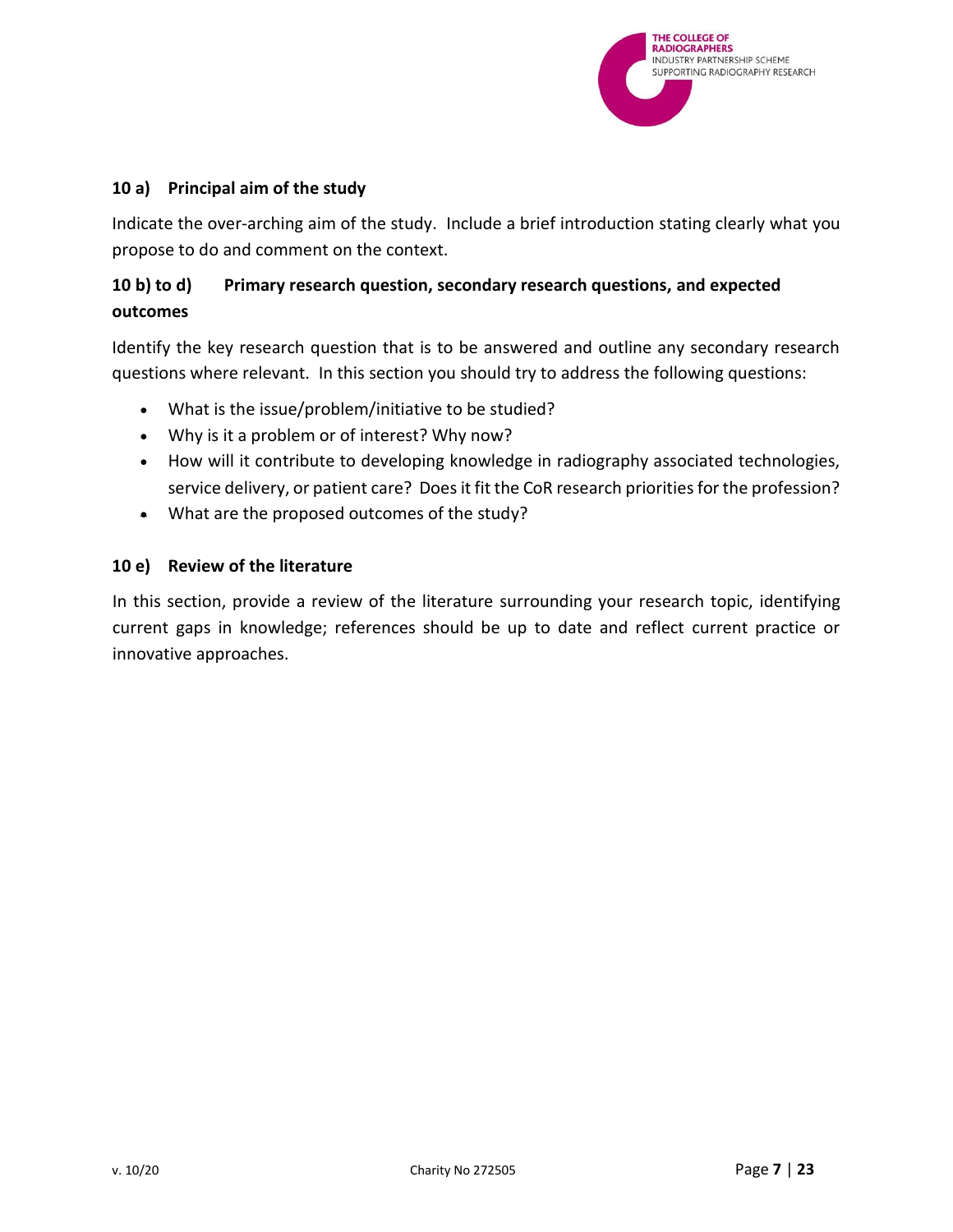

### <span id="page-6-0"></span>**10 a) Principal aim of the study**

Indicate the over-arching aim of the study. Include a brief introduction stating clearly what you propose to do and comment on the context.

# <span id="page-6-1"></span>**10 b) to d) Primary research question, secondary research questions, and expected outcomes**

Identify the key research question that is to be answered and outline any secondary research questions where relevant. In this section you should try to address the following questions:

- What is the issue/problem/initiative to be studied?
- Why is it a problem or of interest? Why now?
- How will it contribute to developing knowledge in radiography associated technologies, service delivery, or patient care? Does it fit the CoR research priorities for the profession?
- What are the proposed outcomes of the study?

### <span id="page-6-2"></span>**10 e) Review of the literature**

In this section, provide a review of the literature surrounding your research topic, identifying current gaps in knowledge; references should be up to date and reflect current practice or innovative approaches.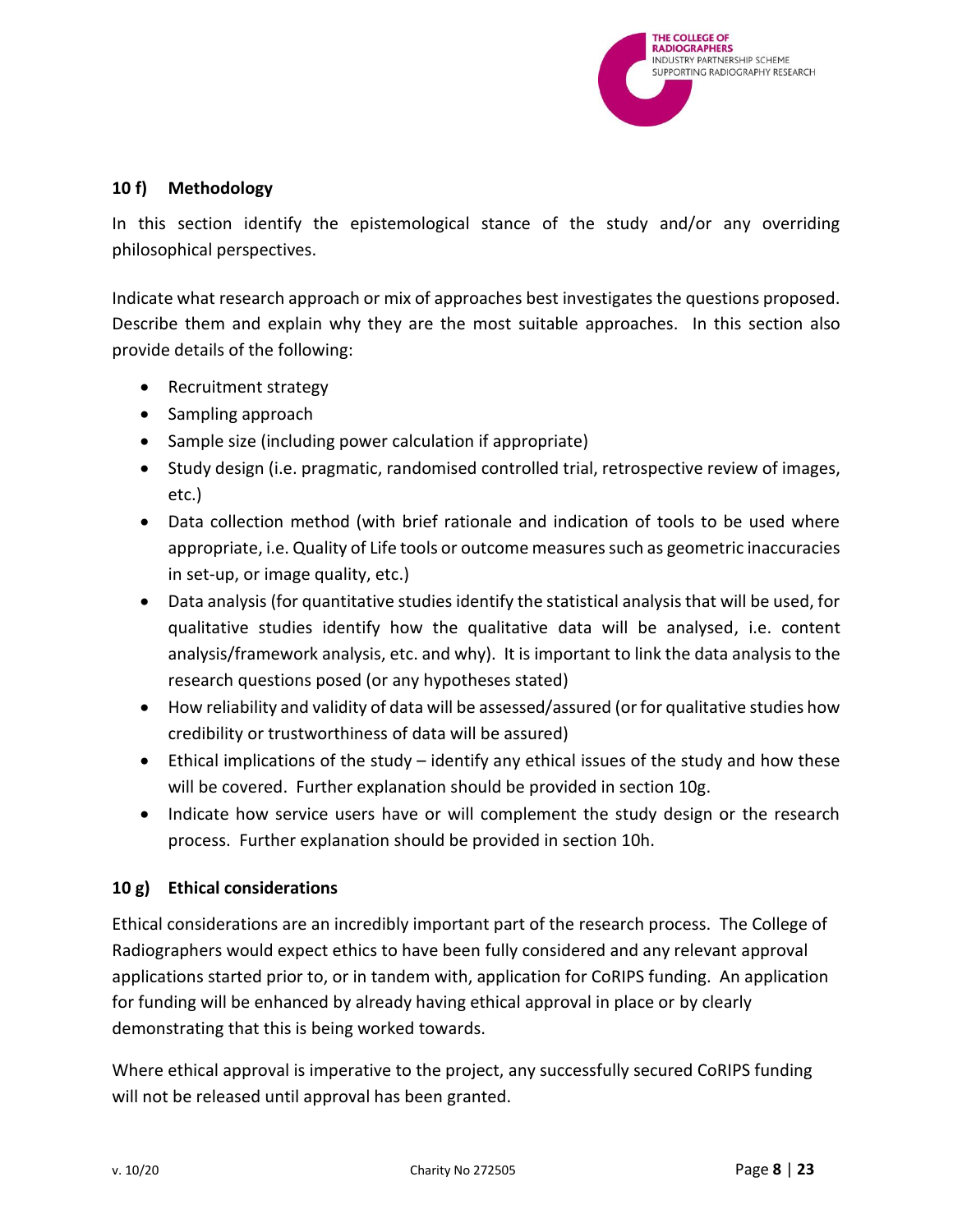

# <span id="page-7-0"></span>**10 f) Methodology**

In this section identify the epistemological stance of the study and/or any overriding philosophical perspectives.

Indicate what research approach or mix of approaches best investigates the questions proposed. Describe them and explain why they are the most suitable approaches. In this section also provide details of the following:

- Recruitment strategy
- Sampling approach
- Sample size (including power calculation if appropriate)
- Study design (i.e. pragmatic, randomised controlled trial, retrospective review of images, etc.)
- Data collection method (with brief rationale and indication of tools to be used where appropriate, i.e. Quality of Life tools or outcome measures such as geometric inaccuracies in set-up, or image quality, etc.)
- Data analysis (for quantitative studies identify the statistical analysis that will be used, for qualitative studies identify how the qualitative data will be analysed, i.e. content analysis/framework analysis, etc. and why). It is important to link the data analysis to the research questions posed (or any hypotheses stated)
- How reliability and validity of data will be assessed/assured (or for qualitative studies how credibility or trustworthiness of data will be assured)
- Ethical implications of the study identify any ethical issues of the study and how these will be covered. Further explanation should be provided in section 10g.
- Indicate how service users have or will complement the study design or the research process. Further explanation should be provided in section 10h.

# <span id="page-7-1"></span>**10 g) Ethical considerations**

Ethical considerations are an incredibly important part of the research process. The College of Radiographers would expect ethics to have been fully considered and any relevant approval applications started prior to, or in tandem with, application for CoRIPS funding. An application for funding will be enhanced by already having ethical approval in place or by clearly demonstrating that this is being worked towards.

Where ethical approval is imperative to the project, any successfully secured CoRIPS funding will not be released until approval has been granted.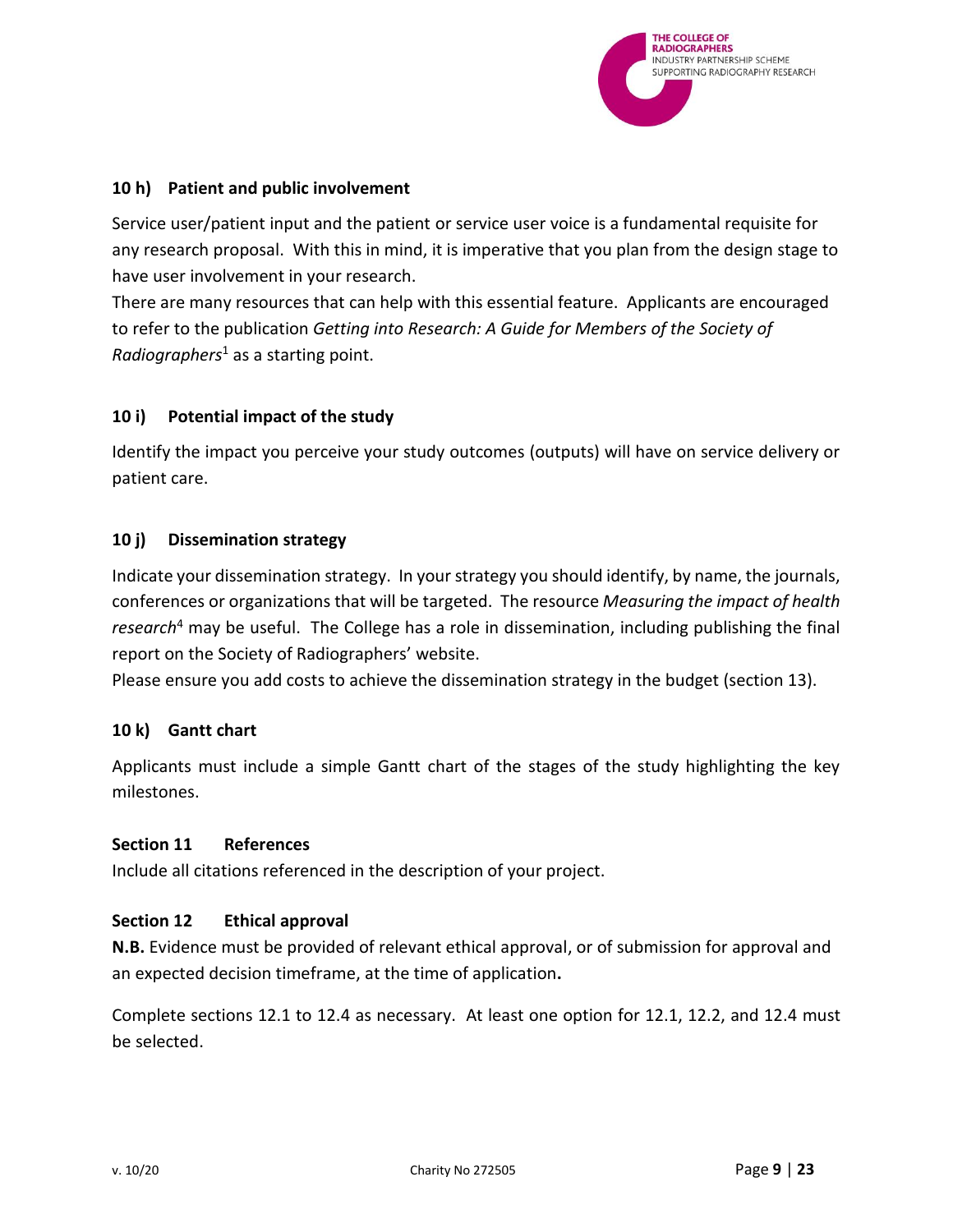

### <span id="page-8-0"></span>**10 h) Patient and public involvement**

Service user/patient input and the patient or service user voice is a fundamental requisite for any research proposal. With this in mind, it is imperative that you plan from the design stage to have user involvement in your research.

There are many resources that can help with this essential feature. Applicants are encouraged to refer to the publication *Getting into Research: A Guide for Members of the Society of Radiographers*<sup>1</sup> as a starting point.

# <span id="page-8-1"></span>**10 i) Potential impact of the study**

Identify the impact you perceive your study outcomes (outputs) will have on service delivery or patient care.

### <span id="page-8-2"></span>**10 j) Dissemination strategy**

Indicate your dissemination strategy. In your strategy you should identify, by name, the journals, conferences or organizations that will be targeted. The resource *Measuring the impact of health research*<sup>4</sup> may be useful. The College has a role in dissemination, including publishing the final report on the Society of Radiographers' website.

Please ensure you add costs to achieve the dissemination strategy in the budget (section 13).

# <span id="page-8-3"></span>**10 k) Gantt chart**

Applicants must include a simple Gantt chart of the stages of the study highlighting the key milestones.

#### <span id="page-8-4"></span>**Section 11 References**

Include all citations referenced in the description of your project.

#### <span id="page-8-5"></span>**Section 12 Ethical approval**

**N.B.** Evidence must be provided of relevant ethical approval, or of submission for approval and an expected decision timeframe, at the time of application**.**

Complete sections 12.1 to 12.4 as necessary. At least one option for 12.1, 12.2, and 12.4 must be selected.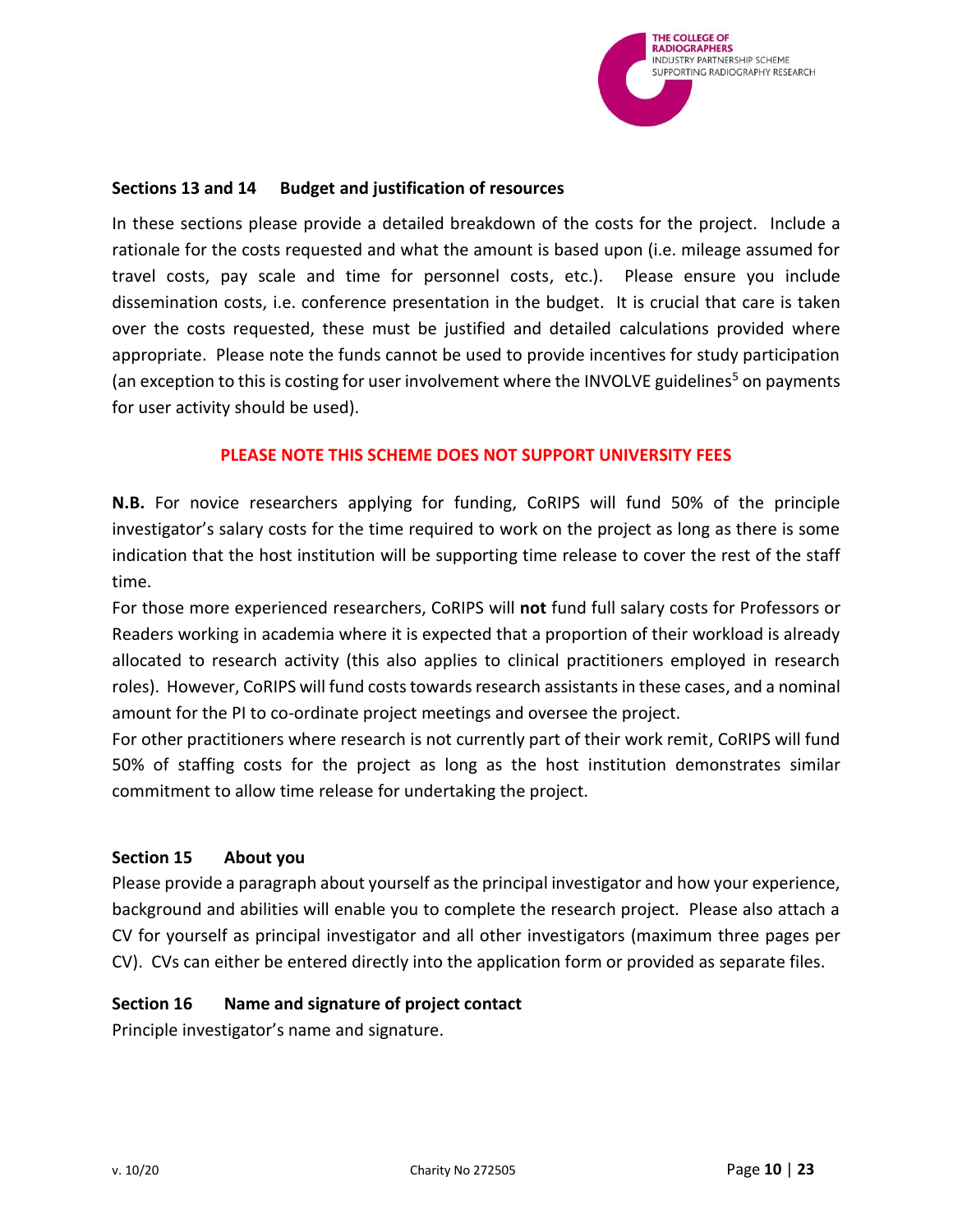

#### <span id="page-9-0"></span>**Sections 13 and 14 Budget and justification of resources**

In these sections please provide a detailed breakdown of the costs for the project. Include a rationale for the costs requested and what the amount is based upon (i.e. mileage assumed for travel costs, pay scale and time for personnel costs, etc.). Please ensure you include dissemination costs, i.e. conference presentation in the budget. It is crucial that care is taken over the costs requested, these must be justified and detailed calculations provided where appropriate. Please note the funds cannot be used to provide incentives for study participation (an exception to this is costing for user involvement where the INVOLVE guidelines<sup>5</sup> on payments for user activity should be used).

### **PLEASE NOTE THIS SCHEME DOES NOT SUPPORT UNIVERSITY FEES**

**N.B.** For novice researchers applying for funding, CoRIPS will fund 50% of the principle investigator's salary costs for the time required to work on the project as long as there is some indication that the host institution will be supporting time release to cover the rest of the staff time.

For those more experienced researchers, CoRIPS will **not** fund full salary costs for Professors or Readers working in academia where it is expected that a proportion of their workload is already allocated to research activity (this also applies to clinical practitioners employed in research roles). However, CoRIPS will fund costs towards research assistants in these cases, and a nominal amount for the PI to co-ordinate project meetings and oversee the project.

For other practitioners where research is not currently part of their work remit, CoRIPS will fund 50% of staffing costs for the project as long as the host institution demonstrates similar commitment to allow time release for undertaking the project.

#### <span id="page-9-1"></span>**Section 15 About you**

Please provide a paragraph about yourself as the principal investigator and how your experience, background and abilities will enable you to complete the research project. Please also attach a CV for yourself as principal investigator and all other investigators (maximum three pages per CV). CVs can either be entered directly into the application form or provided as separate files.

#### <span id="page-9-2"></span>**Section 16 Name and signature of project contact**

Principle investigator's name and signature.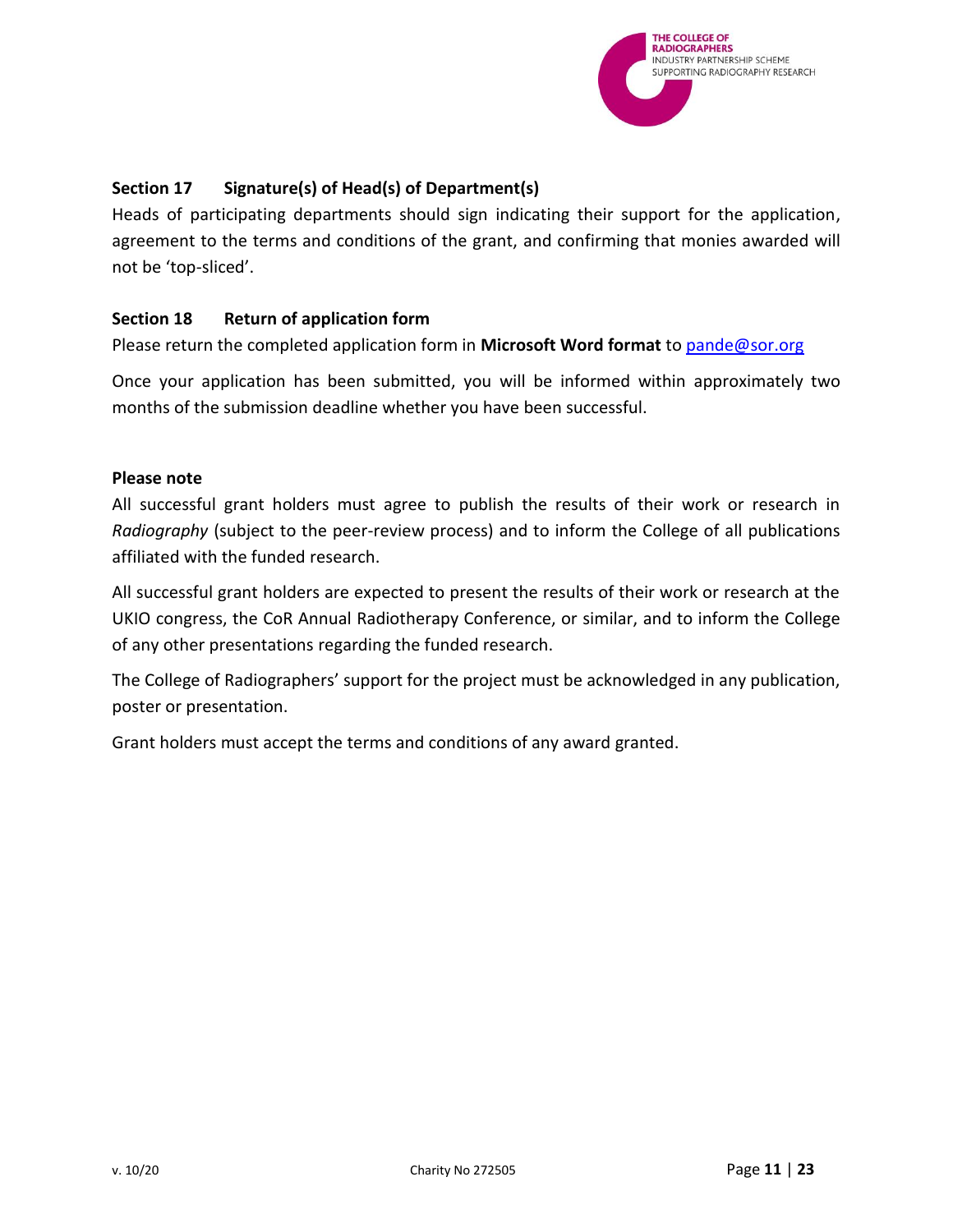

# <span id="page-10-0"></span>**Section 17 Signature(s) of Head(s) of Department(s)**

Heads of participating departments should sign indicating their support for the application, agreement to the terms and conditions of the grant, and confirming that monies awarded will not be 'top-sliced'.

# <span id="page-10-1"></span>**Section 18 Return of application form**

Please return the completed application form in **Microsoft Word format** to [pande@sor.org](mailto:pande@sor.org)

Once your application has been submitted, you will be informed within approximately two months of the submission deadline whether you have been successful.

### **Please note**

All successful grant holders must agree to publish the results of their work or research in *Radiography* (subject to the peer-review process) and to inform the College of all publications affiliated with the funded research.

All successful grant holders are expected to present the results of their work or research at the UKIO congress, the CoR Annual Radiotherapy Conference, or similar, and to inform the College of any other presentations regarding the funded research.

The College of Radiographers' support for the project must be acknowledged in any publication, poster or presentation.

Grant holders must accept the terms and conditions of any award granted.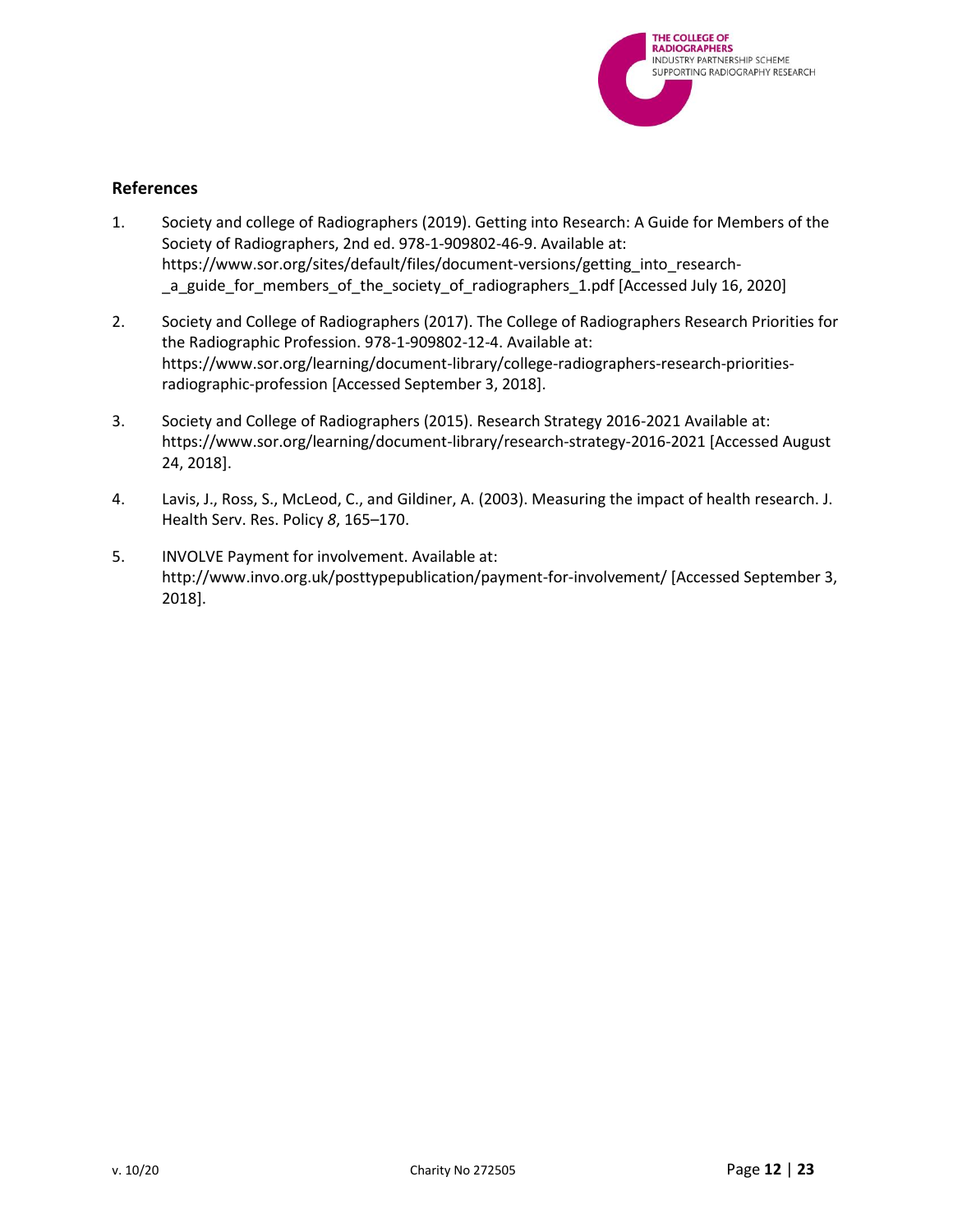

#### <span id="page-11-0"></span>**References**

- 1. Society and college of Radiographers (2019). Getting into Research: A Guide for Members of the Society of Radiographers, 2nd ed. 978-1-909802-46-9. Available at: https://www.sor.org/sites/default/files/document-versions/getting\_into\_research- \_a\_guide\_for\_members\_of\_the\_society\_of\_radiographers\_1.pdf [Accessed July 16, 2020]
- 2. Society and College of Radiographers (2017). The College of Radiographers Research Priorities for the Radiographic Profession. 978-1-909802-12-4. Available at: https://www.sor.org/learning/document-library/college-radiographers-research-prioritiesradiographic-profession [Accessed September 3, 2018].
- 3. Society and College of Radiographers (2015). Research Strategy 2016-2021 Available at: https://www.sor.org/learning/document-library/research-strategy-2016-2021 [Accessed August 24, 2018].
- 4. Lavis, J., Ross, S., McLeod, C., and Gildiner, A. (2003). Measuring the impact of health research. J. Health Serv. Res. Policy *8*, 165–170.
- 5. INVOLVE Payment for involvement. Available at: http://www.invo.org.uk/posttypepublication/payment-for-involvement/ [Accessed September 3, 2018].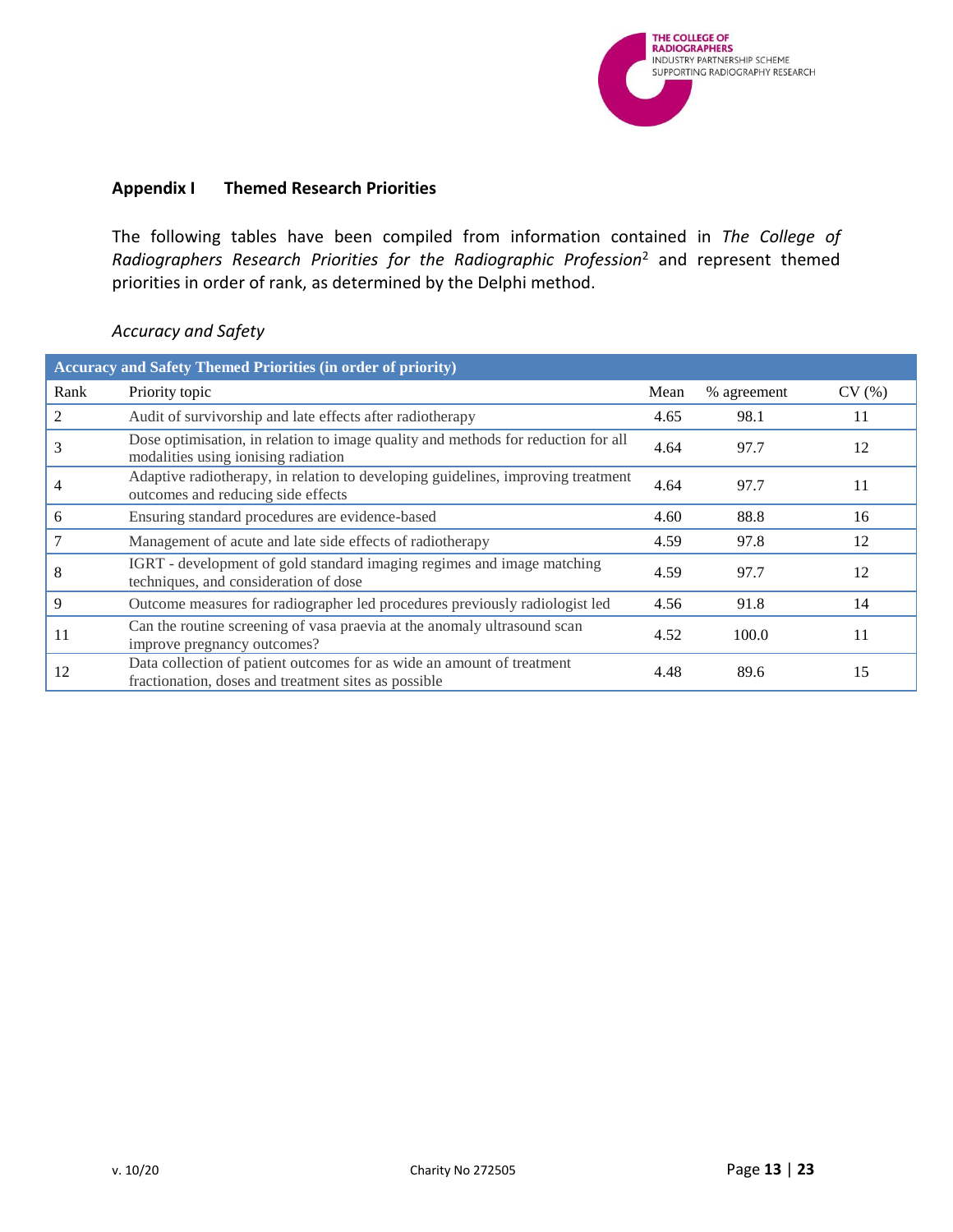

#### <span id="page-12-0"></span>**Appendix I Themed Research Priorities**

The following tables have been compiled from information contained in *The College of Radiographers Research Priorities for the Radiographic Profession*<sup>2</sup> and represent themed priorities in order of rank, as determined by the Delphi method.

### <span id="page-12-1"></span>*Accuracy and Safety*

|      | <b>Accuracy and Safety Themed Priorities (in order of priority)</b>                                                            |      |             |       |
|------|--------------------------------------------------------------------------------------------------------------------------------|------|-------------|-------|
| Rank | Priority topic                                                                                                                 | Mean | % agreement | CV(%) |
|      | Audit of survivorship and late effects after radiotherapy                                                                      | 4.65 | 98.1        | 11    |
|      | Dose optimisation, in relation to image quality and methods for reduction for all<br>modalities using ionising radiation       | 4.64 | 97.7        | 12    |
|      | Adaptive radiotherapy, in relation to developing guidelines, improving treatment<br>outcomes and reducing side effects         | 4.64 | 97.7        | 11    |
| 6    | Ensuring standard procedures are evidence-based                                                                                | 4.60 | 88.8        | 16    |
|      | Management of acute and late side effects of radiotherapy                                                                      | 4.59 | 97.8        | 12    |
| 8    | IGRT - development of gold standard imaging regimes and image matching<br>techniques, and consideration of dose                | 4.59 | 97.7        | 12    |
| 9    | Outcome measures for radiographer led procedures previously radiologist led                                                    | 4.56 | 91.8        | 14    |
| 11   | Can the routine screening of vasa praevia at the anomaly ultrasound scan<br>improve pregnancy outcomes?                        | 4.52 | 100.0       | 11    |
| 12   | Data collection of patient outcomes for as wide an amount of treatment<br>fractionation, doses and treatment sites as possible | 4.48 | 89.6        | 15    |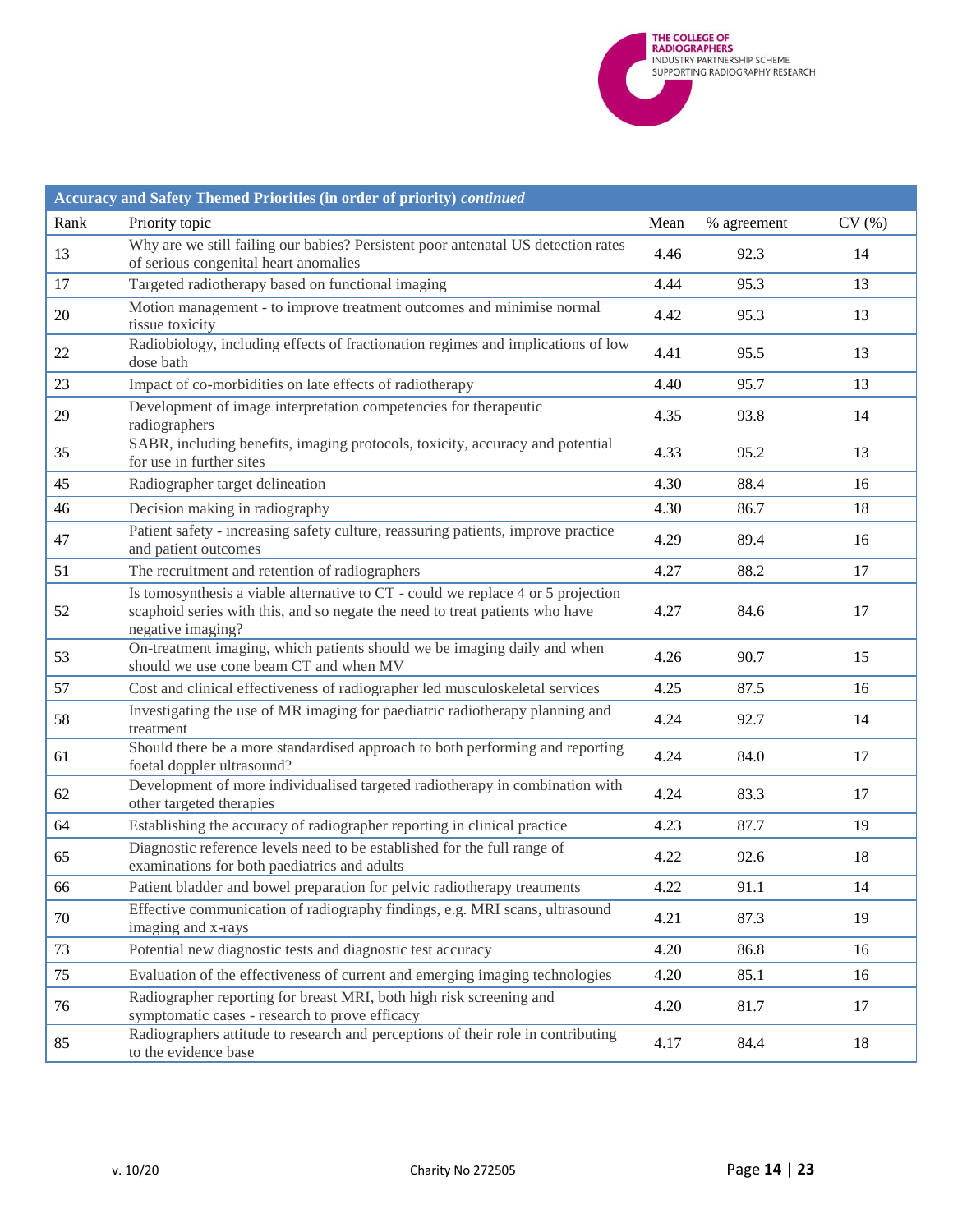

|      | Accuracy and Safety Themed Priorities (in order of priority) continued                                                                                                                |      |             |       |
|------|---------------------------------------------------------------------------------------------------------------------------------------------------------------------------------------|------|-------------|-------|
| Rank | Priority topic                                                                                                                                                                        | Mean | % agreement | CV(%) |
| 13   | Why are we still failing our babies? Persistent poor antenatal US detection rates<br>of serious congenital heart anomalies                                                            | 4.46 | 92.3        | 14    |
| 17   | Targeted radiotherapy based on functional imaging                                                                                                                                     | 4.44 | 95.3        | 13    |
| 20   | Motion management - to improve treatment outcomes and minimise normal<br>tissue toxicity                                                                                              | 4.42 | 95.3        | 13    |
| 22   | Radiobiology, including effects of fractionation regimes and implications of low<br>dose bath                                                                                         | 4.41 | 95.5        | 13    |
| 23   | Impact of co-morbidities on late effects of radiotherapy                                                                                                                              | 4.40 | 95.7        | 13    |
| 29   | Development of image interpretation competencies for therapeutic<br>radiographers                                                                                                     | 4.35 | 93.8        | 14    |
| 35   | SABR, including benefits, imaging protocols, toxicity, accuracy and potential<br>for use in further sites                                                                             | 4.33 | 95.2        | 13    |
| 45   | Radiographer target delineation                                                                                                                                                       | 4.30 | 88.4        | 16    |
| 46   | Decision making in radiography                                                                                                                                                        | 4.30 | 86.7        | 18    |
| 47   | Patient safety - increasing safety culture, reassuring patients, improve practice<br>and patient outcomes                                                                             | 4.29 | 89.4        | 16    |
| 51   | The recruitment and retention of radiographers                                                                                                                                        | 4.27 | 88.2        | 17    |
| 52   | Is tomosynthesis a viable alternative to CT - could we replace 4 or 5 projection<br>scaphoid series with this, and so negate the need to treat patients who have<br>negative imaging? | 4.27 | 84.6        | 17    |
| 53   | On-treatment imaging, which patients should we be imaging daily and when<br>should we use cone beam CT and when MV                                                                    | 4.26 | 90.7        | 15    |
| 57   | Cost and clinical effectiveness of radiographer led musculoskeletal services                                                                                                          | 4.25 | 87.5        | 16    |
| 58   | Investigating the use of MR imaging for paediatric radiotherapy planning and<br>treatment                                                                                             | 4.24 | 92.7        | 14    |
| 61   | Should there be a more standardised approach to both performing and reporting<br>foetal doppler ultrasound?                                                                           | 4.24 | 84.0        | 17    |
| 62   | Development of more individualised targeted radiotherapy in combination with<br>other targeted therapies                                                                              | 4.24 | 83.3        | 17    |
| 64   | Establishing the accuracy of radiographer reporting in clinical practice                                                                                                              | 4.23 | 87.7        | 19    |
| 65   | Diagnostic reference levels need to be established for the full range of<br>examinations for both paediatrics and adults                                                              | 4.22 | 92.6        | 18    |
| 66   | Patient bladder and bowel preparation for pelvic radiotherapy treatments                                                                                                              | 4.22 | 91.1        | 14    |
| 70   | Effective communication of radiography findings, e.g. MRI scans, ultrasound<br>imaging and x-rays                                                                                     | 4.21 | 87.3        | 19    |
| 73   | Potential new diagnostic tests and diagnostic test accuracy                                                                                                                           | 4.20 | 86.8        | 16    |
| 75   | Evaluation of the effectiveness of current and emerging imaging technologies                                                                                                          | 4.20 | 85.1        | 16    |
| 76   | Radiographer reporting for breast MRI, both high risk screening and<br>symptomatic cases - research to prove efficacy                                                                 | 4.20 | 81.7        | 17    |
| 85   | Radiographers attitude to research and perceptions of their role in contributing<br>to the evidence base                                                                              | 4.17 | 84.4        | 18    |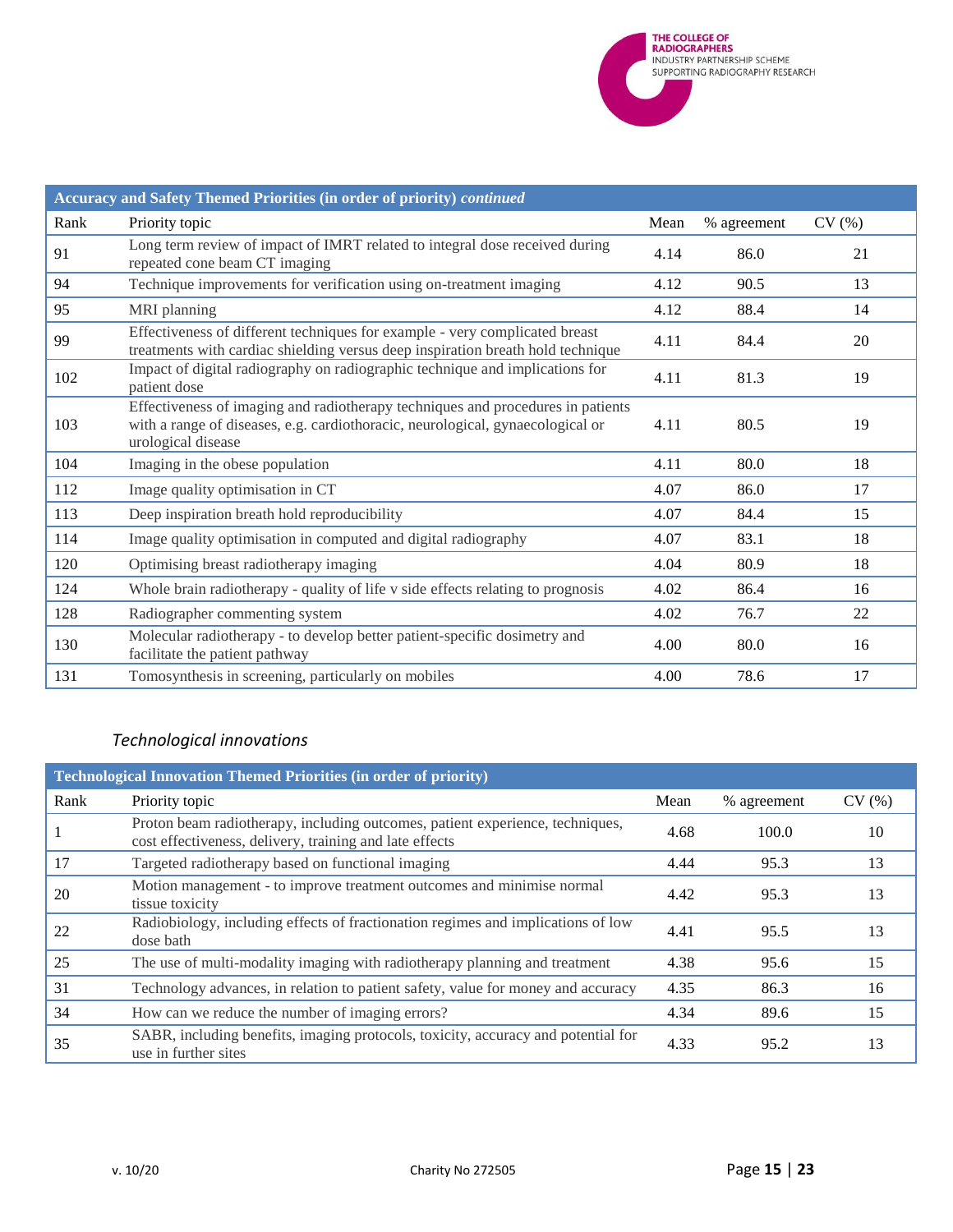

|      | Accuracy and Safety Themed Priorities (in order of priority) continued                                                                                                                  |      |             |       |
|------|-----------------------------------------------------------------------------------------------------------------------------------------------------------------------------------------|------|-------------|-------|
| Rank | Priority topic                                                                                                                                                                          | Mean | % agreement | CV(%) |
| 91   | Long term review of impact of IMRT related to integral dose received during<br>repeated cone beam CT imaging                                                                            | 4.14 | 86.0        | 21    |
| 94   | Technique improvements for verification using on-treatment imaging                                                                                                                      | 4.12 | 90.5        | 13    |
| 95   | MRI planning                                                                                                                                                                            | 4.12 | 88.4        | 14    |
| 99   | Effectiveness of different techniques for example - very complicated breast<br>treatments with cardiac shielding versus deep inspiration breath hold technique                          | 4.11 | 84.4        | 20    |
| 102  | Impact of digital radiography on radiographic technique and implications for<br>patient dose                                                                                            | 4.11 | 81.3        | 19    |
| 103  | Effectiveness of imaging and radiotherapy techniques and procedures in patients<br>with a range of diseases, e.g. cardiothoracic, neurological, gynaecological or<br>urological disease | 4.11 | 80.5        | 19    |
| 104  | Imaging in the obese population                                                                                                                                                         | 4.11 | 80.0        | 18    |
| 112  | Image quality optimisation in CT                                                                                                                                                        | 4.07 | 86.0        | 17    |
| 113  | Deep inspiration breath hold reproducibility                                                                                                                                            | 4.07 | 84.4        | 15    |
| 114  | Image quality optimisation in computed and digital radiography                                                                                                                          | 4.07 | 83.1        | 18    |
| 120  | Optimising breast radiotherapy imaging                                                                                                                                                  | 4.04 | 80.9        | 18    |
| 124  | Whole brain radiotherapy - quality of life v side effects relating to prognosis                                                                                                         | 4.02 | 86.4        | 16    |
| 128  | Radiographer commenting system                                                                                                                                                          | 4.02 | 76.7        | 22    |
| 130  | Molecular radiotherapy - to develop better patient-specific dosimetry and<br>facilitate the patient pathway                                                                             | 4.00 | 80.0        | 16    |
| 131  | Tomosynthesis in screening, particularly on mobiles                                                                                                                                     | 4.00 | 78.6        | 17    |

# <span id="page-14-0"></span>*Technological innovations*

| <b>Technological Innovation Themed Priorities (in order of priority)</b> |                                                                                                                                          |      |             |       |
|--------------------------------------------------------------------------|------------------------------------------------------------------------------------------------------------------------------------------|------|-------------|-------|
| Rank                                                                     | Priority topic                                                                                                                           | Mean | % agreement | CV(%) |
|                                                                          | Proton beam radiotherapy, including outcomes, patient experience, techniques,<br>cost effectiveness, delivery, training and late effects | 4.68 | 100.0       | 10    |
| 17                                                                       | Targeted radiotherapy based on functional imaging                                                                                        | 4.44 | 95.3        | 13    |
| 20                                                                       | Motion management - to improve treatment outcomes and minimise normal<br>tissue toxicity                                                 | 4.42 | 95.3        | 13    |
| 22                                                                       | Radiobiology, including effects of fractionation regimes and implications of low<br>dose bath                                            | 4.41 | 95.5        | 13    |
| 25                                                                       | The use of multi-modality imaging with radiotherapy planning and treatment                                                               | 4.38 | 95.6        | 15    |
| 31                                                                       | Technology advances, in relation to patient safety, value for money and accuracy                                                         | 4.35 | 86.3        | 16    |
| 34                                                                       | How can we reduce the number of imaging errors?                                                                                          | 4.34 | 89.6        | 15    |
| 35                                                                       | SABR, including benefits, imaging protocols, toxicity, accuracy and potential for<br>use in further sites                                | 4.33 | 95.2        | 13    |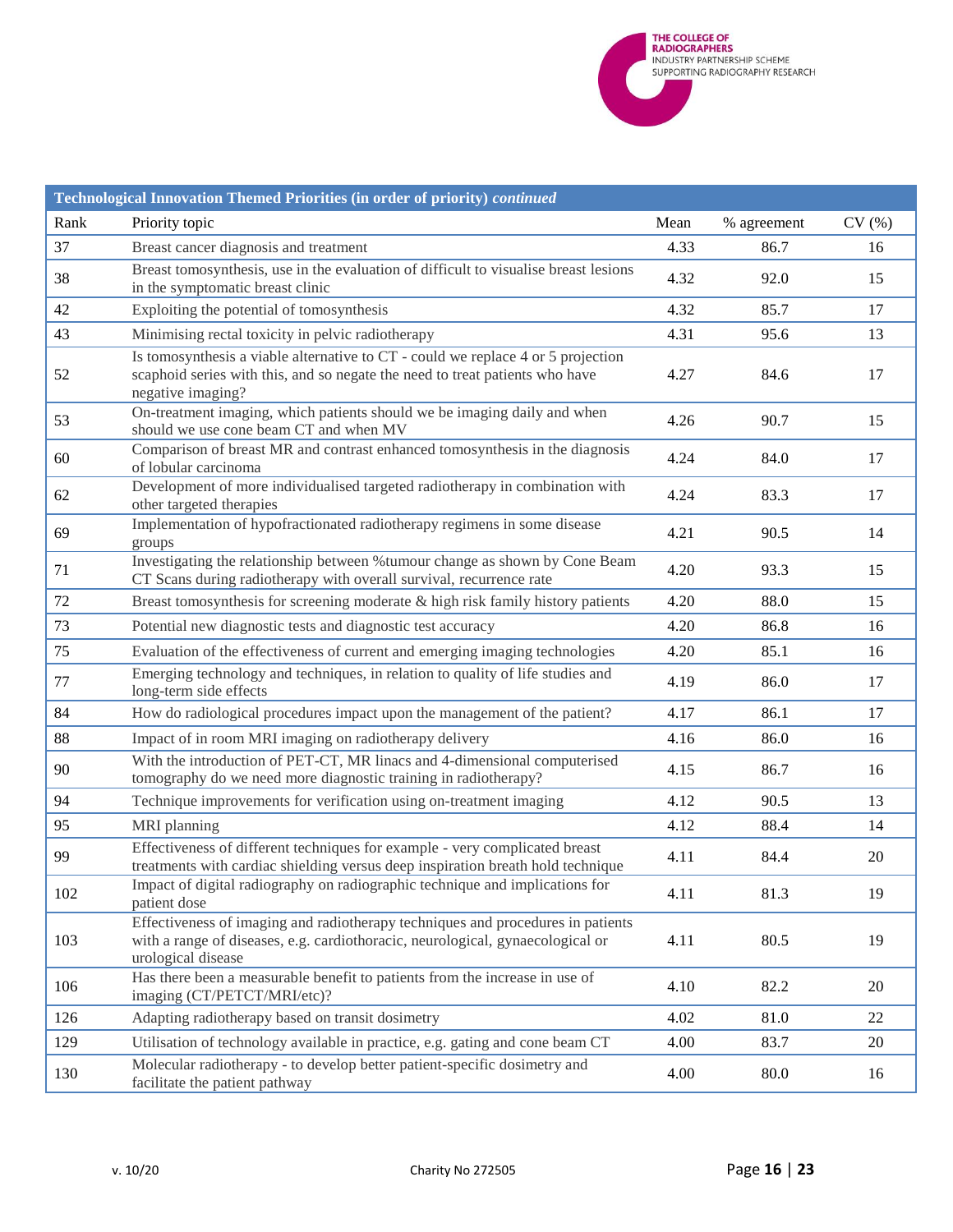

|      | Technological Innovation Themed Priorities (in order of priority) continued                                                                                                             |      |             |       |
|------|-----------------------------------------------------------------------------------------------------------------------------------------------------------------------------------------|------|-------------|-------|
| Rank | Priority topic                                                                                                                                                                          | Mean | % agreement | CV(%) |
| 37   | Breast cancer diagnosis and treatment                                                                                                                                                   | 4.33 | 86.7        | 16    |
| 38   | Breast tomosynthesis, use in the evaluation of difficult to visualise breast lesions<br>in the symptomatic breast clinic                                                                | 4.32 | 92.0        | 15    |
| 42   | Exploiting the potential of tomosynthesis                                                                                                                                               | 4.32 | 85.7        | 17    |
| 43   | Minimising rectal toxicity in pelvic radiotherapy                                                                                                                                       | 4.31 | 95.6        | 13    |
| 52   | Is tomosynthesis a viable alternative to CT - could we replace 4 or 5 projection<br>scaphoid series with this, and so negate the need to treat patients who have<br>negative imaging?   | 4.27 | 84.6        | 17    |
| 53   | On-treatment imaging, which patients should we be imaging daily and when<br>should we use cone beam CT and when MV                                                                      | 4.26 | 90.7        | 15    |
| 60   | Comparison of breast MR and contrast enhanced tomosynthesis in the diagnosis<br>of lobular carcinoma                                                                                    | 4.24 | 84.0        | 17    |
| 62   | Development of more individualised targeted radiotherapy in combination with<br>other targeted therapies                                                                                | 4.24 | 83.3        | 17    |
| 69   | Implementation of hypofractionated radiotherapy regimens in some disease<br>groups                                                                                                      | 4.21 | 90.5        | 14    |
| 71   | Investigating the relationship between % tumour change as shown by Cone Beam<br>CT Scans during radiotherapy with overall survival, recurrence rate                                     | 4.20 | 93.3        | 15    |
| 72   | Breast tomosynthesis for screening moderate $\&$ high risk family history patients                                                                                                      | 4.20 | 88.0        | 15    |
| 73   | Potential new diagnostic tests and diagnostic test accuracy                                                                                                                             | 4.20 | 86.8        | 16    |
| 75   | Evaluation of the effectiveness of current and emerging imaging technologies                                                                                                            | 4.20 | 85.1        | 16    |
| 77   | Emerging technology and techniques, in relation to quality of life studies and<br>long-term side effects                                                                                | 4.19 | 86.0        | 17    |
| 84   | How do radiological procedures impact upon the management of the patient?                                                                                                               | 4.17 | 86.1        | 17    |
| 88   | Impact of in room MRI imaging on radiotherapy delivery                                                                                                                                  | 4.16 | 86.0        | 16    |
| 90   | With the introduction of PET-CT, MR linacs and 4-dimensional computerised<br>tomography do we need more diagnostic training in radiotherapy?                                            | 4.15 | 86.7        | 16    |
| 94   | Technique improvements for verification using on-treatment imaging                                                                                                                      | 4.12 | 90.5        | 13    |
| 95   | MRI planning                                                                                                                                                                            | 4.12 | 88.4        | 14    |
| 99   | Effectiveness of different techniques for example - very complicated breast<br>treatments with cardiac shielding versus deep inspiration breath hold technique                          | 4.11 | 84.4        | 20    |
| 102  | Impact of digital radiography on radiographic technique and implications for<br>patient dose                                                                                            | 4.11 | 81.3        | 19    |
| 103  | Effectiveness of imaging and radiotherapy techniques and procedures in patients<br>with a range of diseases, e.g. cardiothoracic, neurological, gynaecological or<br>urological disease | 4.11 | 80.5        | 19    |
| 106  | Has there been a measurable benefit to patients from the increase in use of<br>imaging (CT/PETCT/MRI/etc)?                                                                              | 4.10 | 82.2        | 20    |
| 126  | Adapting radiotherapy based on transit dosimetry                                                                                                                                        | 4.02 | 81.0        | 22    |
| 129  | Utilisation of technology available in practice, e.g. gating and cone beam CT                                                                                                           | 4.00 | 83.7        | 20    |
| 130  | Molecular radiotherapy - to develop better patient-specific dosimetry and<br>facilitate the patient pathway                                                                             | 4.00 | 80.0        | 16    |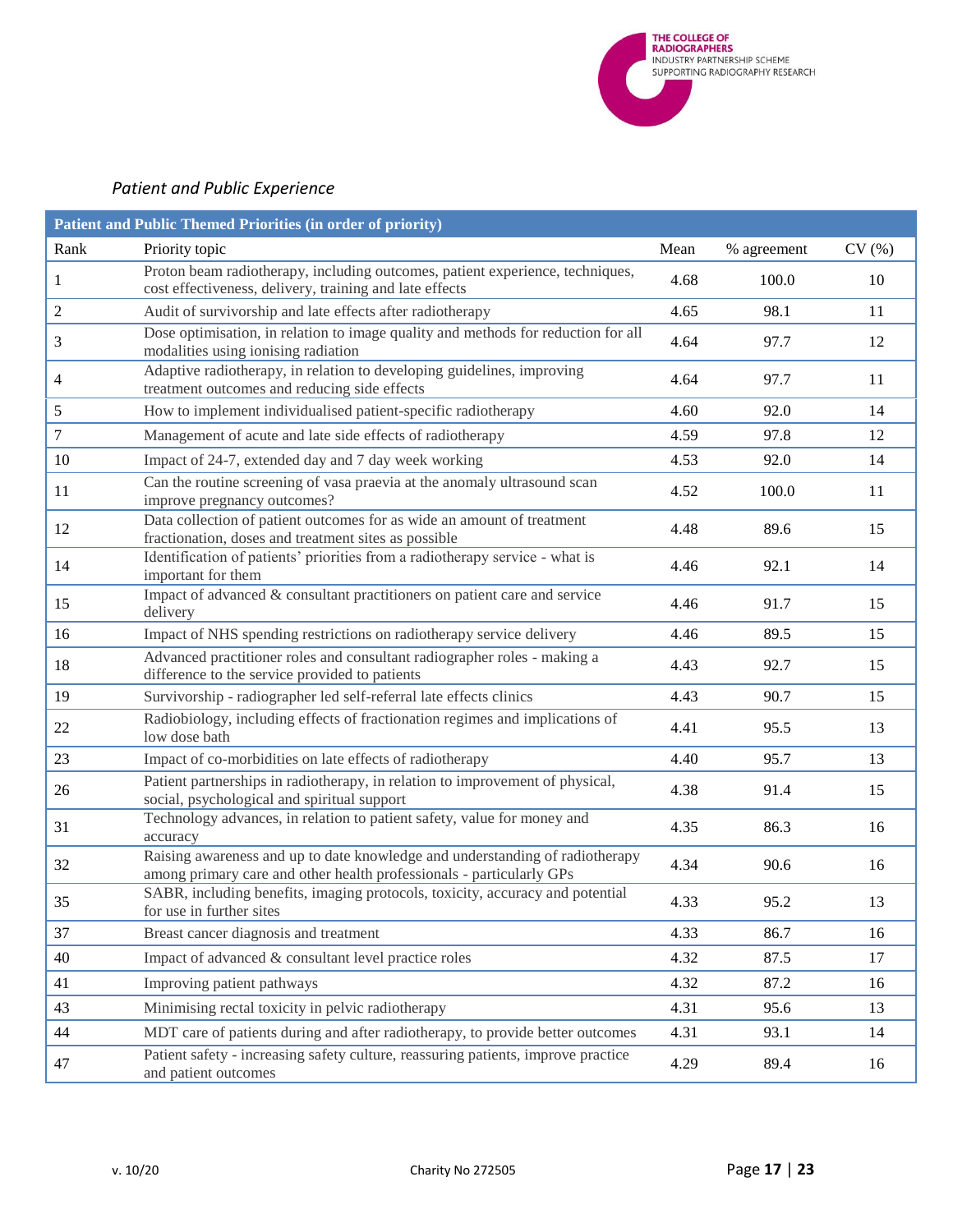

# <span id="page-16-0"></span>*Patient and Public Experience*

|                  | Patient and Public Themed Priorities (in order of priority)                                                                                          |      |             |       |  |  |
|------------------|------------------------------------------------------------------------------------------------------------------------------------------------------|------|-------------|-------|--|--|
| Rank             | Priority topic                                                                                                                                       | Mean | % agreement | CV(%) |  |  |
| 1                | Proton beam radiotherapy, including outcomes, patient experience, techniques,<br>cost effectiveness, delivery, training and late effects             | 4.68 | 100.0       | 10    |  |  |
| $\overline{c}$   | Audit of survivorship and late effects after radiotherapy                                                                                            | 4.65 | 98.1        | 11    |  |  |
| 3                | Dose optimisation, in relation to image quality and methods for reduction for all<br>modalities using ionising radiation                             | 4.64 | 97.7        | 12    |  |  |
| 4                | Adaptive radiotherapy, in relation to developing guidelines, improving<br>treatment outcomes and reducing side effects                               | 4.64 | 97.7        | 11    |  |  |
| 5                | How to implement individualised patient-specific radiotherapy                                                                                        | 4.60 | 92.0        | 14    |  |  |
| $\boldsymbol{7}$ | Management of acute and late side effects of radiotherapy                                                                                            | 4.59 | 97.8        | 12    |  |  |
| 10               | Impact of 24-7, extended day and 7 day week working                                                                                                  | 4.53 | 92.0        | 14    |  |  |
| 11               | Can the routine screening of vasa praevia at the anomaly ultrasound scan<br>improve pregnancy outcomes?                                              | 4.52 | 100.0       | 11    |  |  |
| 12               | Data collection of patient outcomes for as wide an amount of treatment<br>fractionation, doses and treatment sites as possible                       | 4.48 | 89.6        | 15    |  |  |
| 14               | Identification of patients' priorities from a radiotherapy service - what is<br>important for them                                                   | 4.46 | 92.1        | 14    |  |  |
| 15               | Impact of advanced & consultant practitioners on patient care and service<br>delivery                                                                | 4.46 | 91.7        | 15    |  |  |
| 16               | Impact of NHS spending restrictions on radiotherapy service delivery                                                                                 | 4.46 | 89.5        | 15    |  |  |
| 18               | Advanced practitioner roles and consultant radiographer roles - making a<br>difference to the service provided to patients                           | 4.43 | 92.7        | 15    |  |  |
| 19               | Survivorship - radiographer led self-referral late effects clinics                                                                                   | 4.43 | 90.7        | 15    |  |  |
| 22               | Radiobiology, including effects of fractionation regimes and implications of<br>low dose bath                                                        | 4.41 | 95.5        | 13    |  |  |
| 23               | Impact of co-morbidities on late effects of radiotherapy                                                                                             | 4.40 | 95.7        | 13    |  |  |
| 26               | Patient partnerships in radiotherapy, in relation to improvement of physical,<br>social, psychological and spiritual support                         | 4.38 | 91.4        | 15    |  |  |
| 31               | Technology advances, in relation to patient safety, value for money and<br>accuracy                                                                  | 4.35 | 86.3        | 16    |  |  |
| 32               | Raising awareness and up to date knowledge and understanding of radiotherapy<br>among primary care and other health professionals - particularly GPs | 4.34 | 90.6        | 16    |  |  |
| 35               | SABR, including benefits, imaging protocols, toxicity, accuracy and potential<br>for use in further sites                                            | 4.33 | 95.2        | 13    |  |  |
| 37               | Breast cancer diagnosis and treatment                                                                                                                | 4.33 | 86.7        | 16    |  |  |
| 40               | Impact of advanced & consultant level practice roles                                                                                                 | 4.32 | 87.5        | 17    |  |  |
| 41               | Improving patient pathways                                                                                                                           | 4.32 | 87.2        | 16    |  |  |
| 43               | Minimising rectal toxicity in pelvic radiotherapy                                                                                                    | 4.31 | 95.6        | 13    |  |  |
| 44               | MDT care of patients during and after radiotherapy, to provide better outcomes                                                                       | 4.31 | 93.1        | 14    |  |  |
| 47               | Patient safety - increasing safety culture, reassuring patients, improve practice<br>and patient outcomes                                            | 4.29 | 89.4        | 16    |  |  |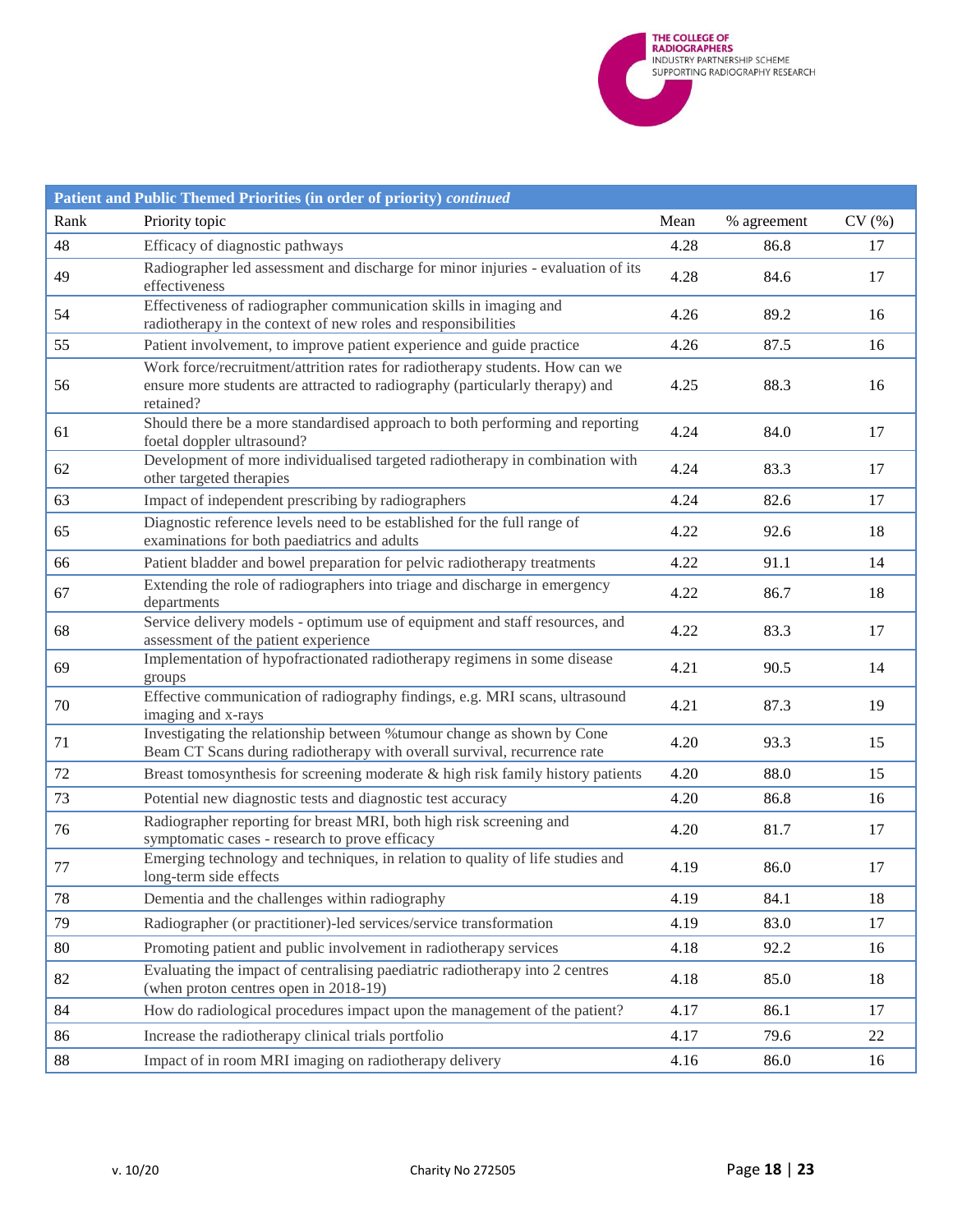**THE COLLEGE OF<br>RADIOGRAPHERS**<br>INDUSTRY PARTNERSHIP SCHEME<br>SUPPORTING RADIOGRAPHY RESEARCH

|        | Patient and Public Themed Priorities (in order of priority) continued                                                                                                     |      |             |       |
|--------|---------------------------------------------------------------------------------------------------------------------------------------------------------------------------|------|-------------|-------|
| Rank   | Priority topic                                                                                                                                                            | Mean | % agreement | CV(%) |
| 48     | Efficacy of diagnostic pathways                                                                                                                                           | 4.28 | 86.8        | 17    |
| 49     | Radiographer led assessment and discharge for minor injuries - evaluation of its<br>effectiveness                                                                         | 4.28 | 84.6        | 17    |
| 54     | Effectiveness of radiographer communication skills in imaging and<br>radiotherapy in the context of new roles and responsibilities                                        | 4.26 | 89.2        | 16    |
| 55     | Patient involvement, to improve patient experience and guide practice                                                                                                     | 4.26 | 87.5        | 16    |
| 56     | Work force/recruitment/attrition rates for radiotherapy students. How can we<br>ensure more students are attracted to radiography (particularly therapy) and<br>retained? | 4.25 | 88.3        | 16    |
| 61     | Should there be a more standardised approach to both performing and reporting<br>foetal doppler ultrasound?                                                               | 4.24 | 84.0        | 17    |
| 62     | Development of more individualised targeted radiotherapy in combination with<br>other targeted therapies                                                                  | 4.24 | 83.3        | 17    |
| 63     | Impact of independent prescribing by radiographers                                                                                                                        | 4.24 | 82.6        | 17    |
| 65     | Diagnostic reference levels need to be established for the full range of<br>examinations for both paediatrics and adults                                                  | 4.22 | 92.6        | 18    |
| 66     | Patient bladder and bowel preparation for pelvic radiotherapy treatments                                                                                                  | 4.22 | 91.1        | 14    |
| 67     | Extending the role of radiographers into triage and discharge in emergency<br>departments                                                                                 | 4.22 | 86.7        | 18    |
| 68     | Service delivery models - optimum use of equipment and staff resources, and<br>assessment of the patient experience                                                       | 4.22 | 83.3        | 17    |
| 69     | Implementation of hypofractionated radiotherapy regimens in some disease<br>groups                                                                                        | 4.21 | 90.5        | 14    |
| 70     | Effective communication of radiography findings, e.g. MRI scans, ultrasound<br>imaging and x-rays                                                                         | 4.21 | 87.3        | 19    |
| 71     | Investigating the relationship between % tumour change as shown by Cone<br>Beam CT Scans during radiotherapy with overall survival, recurrence rate                       | 4.20 | 93.3        | 15    |
| 72     | Breast tomosynthesis for screening moderate & high risk family history patients                                                                                           | 4.20 | 88.0        | 15    |
| 73     | Potential new diagnostic tests and diagnostic test accuracy                                                                                                               | 4.20 | 86.8        | 16    |
| 76     | Radiographer reporting for breast MRI, both high risk screening and<br>symptomatic cases - research to prove efficacy                                                     | 4.20 | 81.7        | 17    |
| 77     | Emerging technology and techniques, in relation to quality of life studies and<br>long-term side effects                                                                  | 4.19 | 86.0        | 17    |
| 78     | Dementia and the challenges within radiography                                                                                                                            | 4.19 | 84.1        | 18    |
| 79     | Radiographer (or practitioner)-led services/service transformation                                                                                                        | 4.19 | 83.0        | 17    |
| 80     | Promoting patient and public involvement in radiotherapy services                                                                                                         | 4.18 | 92.2        | 16    |
| 82     | Evaluating the impact of centralising paediatric radiotherapy into 2 centres<br>(when proton centres open in 2018-19)                                                     | 4.18 | 85.0        | 18    |
| 84     | How do radiological procedures impact upon the management of the patient?                                                                                                 | 4.17 | 86.1        | 17    |
| 86     | Increase the radiotherapy clinical trials portfolio                                                                                                                       | 4.17 | 79.6        | 22    |
| $88\,$ | Impact of in room MRI imaging on radiotherapy delivery                                                                                                                    | 4.16 | 86.0        | 16    |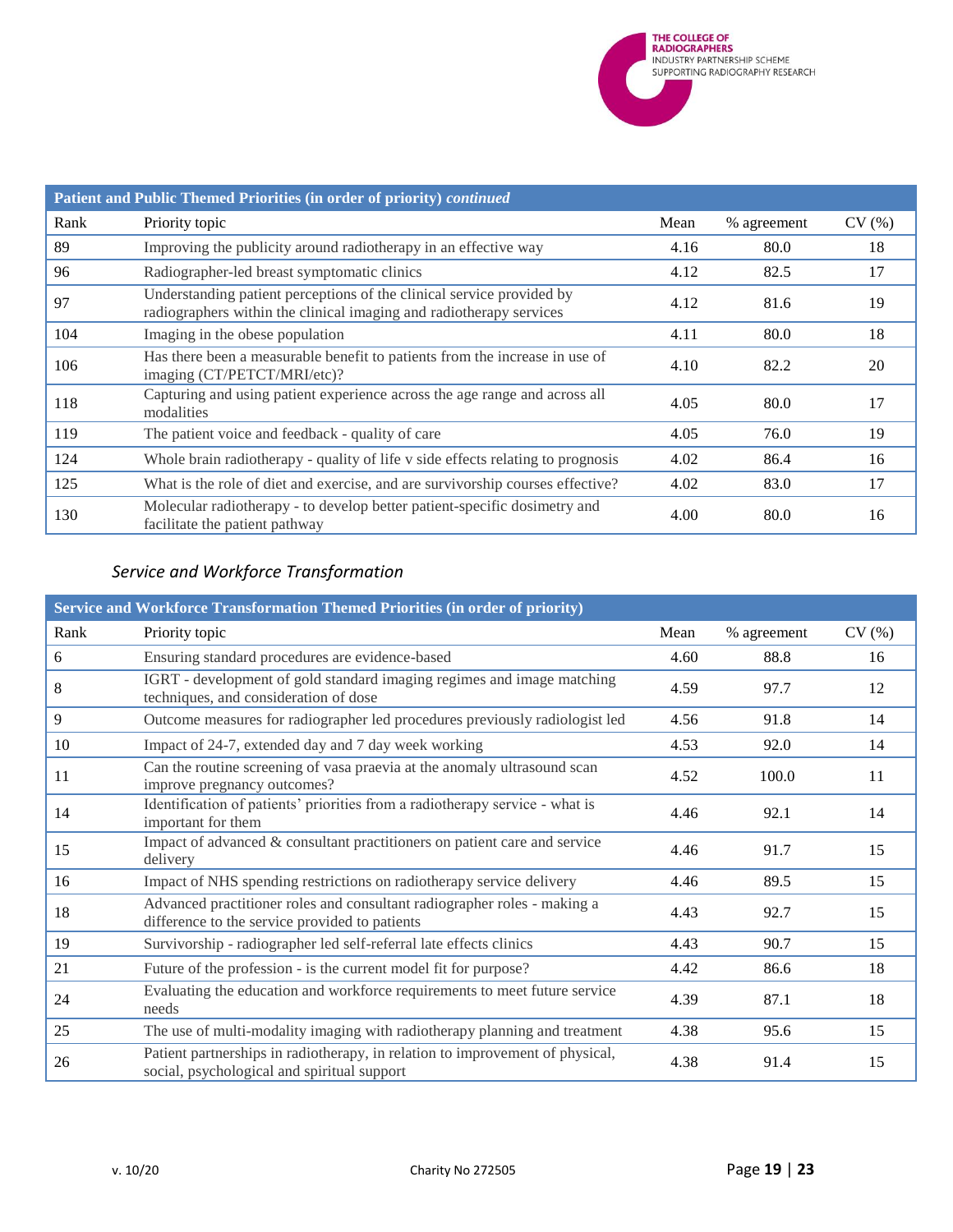

| Patient and Public Themed Priorities (in order of priority) continued |                                                                                                                                              |      |             |       |  |
|-----------------------------------------------------------------------|----------------------------------------------------------------------------------------------------------------------------------------------|------|-------------|-------|--|
| Rank                                                                  | Priority topic                                                                                                                               | Mean | % agreement | CV(%) |  |
| 89                                                                    | Improving the publicity around radiotherapy in an effective way                                                                              | 4.16 | 80.0        | 18    |  |
| 96                                                                    | Radiographer-led breast symptomatic clinics                                                                                                  | 4.12 | 82.5        | 17    |  |
| 97                                                                    | Understanding patient perceptions of the clinical service provided by<br>radiographers within the clinical imaging and radiotherapy services | 4.12 | 81.6        | 19    |  |
| 104                                                                   | Imaging in the obese population                                                                                                              | 4.11 | 80.0        | 18    |  |
| 106                                                                   | Has there been a measurable benefit to patients from the increase in use of<br>imaging (CT/PETCT/MRI/etc)?                                   | 4.10 | 82.2        | 20    |  |
| 118                                                                   | Capturing and using patient experience across the age range and across all<br>modalities                                                     | 4.05 | 80.0        | 17    |  |
| 119                                                                   | The patient voice and feedback - quality of care                                                                                             | 4.05 | 76.0        | 19    |  |
| 124                                                                   | Whole brain radiotherapy - quality of life v side effects relating to prognosis                                                              | 4.02 | 86.4        | 16    |  |
| 125                                                                   | What is the role of diet and exercise, and are survivorship courses effective?                                                               | 4.02 | 83.0        | 17    |  |
| 130                                                                   | Molecular radiotherapy - to develop better patient-specific dosimetry and<br>facilitate the patient pathway                                  | 4.00 | 80.0        | 16    |  |

# <span id="page-18-0"></span>*Service and Workforce Transformation*

|      | Service and Workforce Transformation Themed Priorities (in order of priority)                                                |      |             |       |
|------|------------------------------------------------------------------------------------------------------------------------------|------|-------------|-------|
| Rank | Priority topic                                                                                                               | Mean | % agreement | CV(%) |
| 6    | Ensuring standard procedures are evidence-based                                                                              | 4.60 | 88.8        | 16    |
| 8    | IGRT - development of gold standard imaging regimes and image matching<br>techniques, and consideration of dose              | 4.59 | 97.7        | 12    |
| 9    | Outcome measures for radiographer led procedures previously radiologist led                                                  | 4.56 | 91.8        | 14    |
| 10   | Impact of 24-7, extended day and 7 day week working                                                                          | 4.53 | 92.0        | 14    |
| 11   | Can the routine screening of vasa praevia at the anomaly ultrasound scan<br>improve pregnancy outcomes?                      | 4.52 | 100.0       | 11    |
| 14   | Identification of patients' priorities from a radiotherapy service - what is<br>important for them                           | 4.46 | 92.1        | 14    |
| 15   | Impact of advanced & consultant practitioners on patient care and service<br>delivery                                        | 4.46 | 91.7        | 15    |
| 16   | Impact of NHS spending restrictions on radiotherapy service delivery                                                         | 4.46 | 89.5        | 15    |
| 18   | Advanced practitioner roles and consultant radiographer roles - making a<br>difference to the service provided to patients   | 4.43 | 92.7        | 15    |
| 19   | Survivorship - radiographer led self-referral late effects clinics                                                           | 4.43 | 90.7        | 15    |
| 21   | Future of the profession - is the current model fit for purpose?                                                             | 4.42 | 86.6        | 18    |
| 24   | Evaluating the education and workforce requirements to meet future service<br>needs                                          | 4.39 | 87.1        | 18    |
| 25   | The use of multi-modality imaging with radiotherapy planning and treatment                                                   | 4.38 | 95.6        | 15    |
| 26   | Patient partnerships in radiotherapy, in relation to improvement of physical,<br>social, psychological and spiritual support | 4.38 | 91.4        | 15    |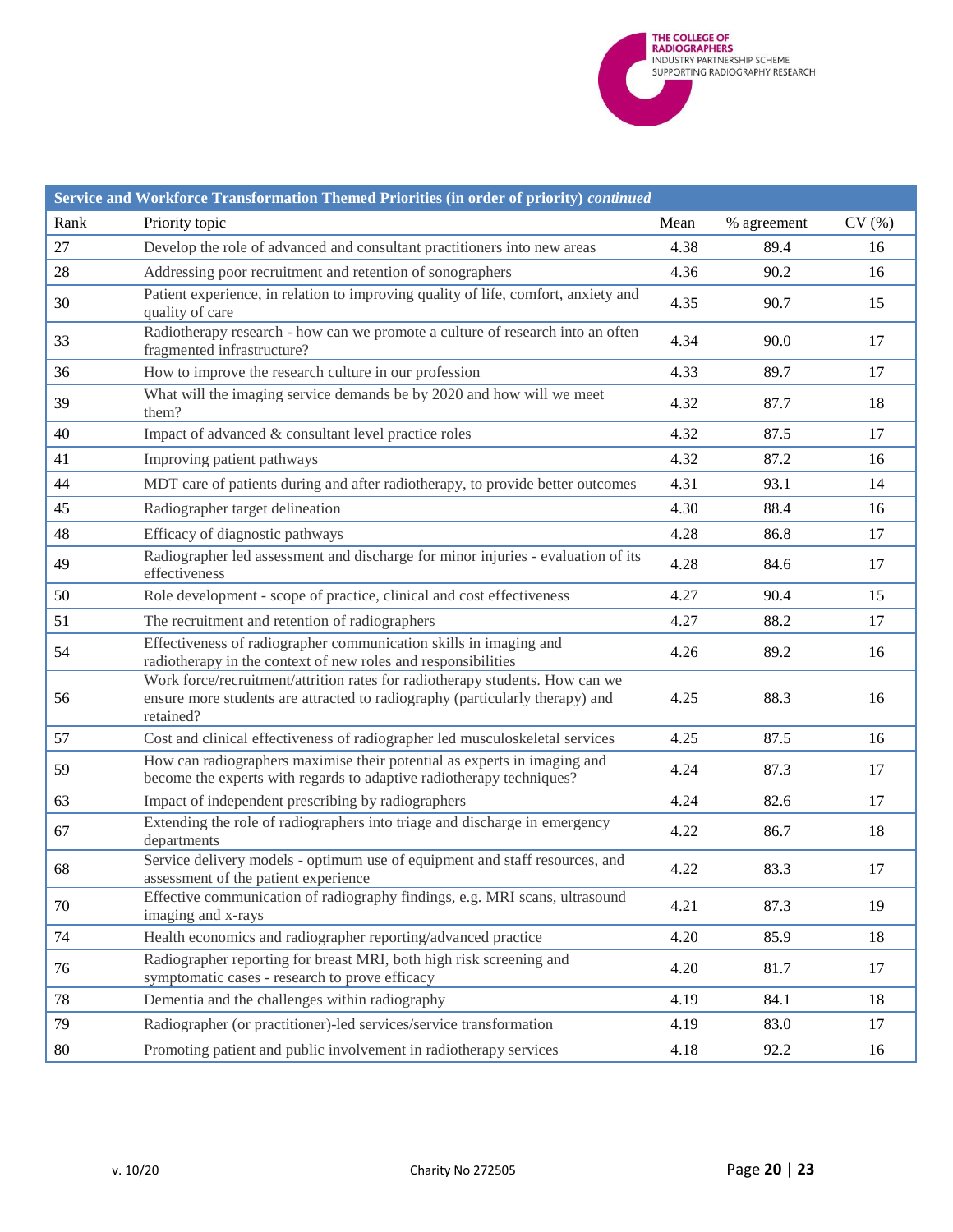

|        | Service and Workforce Transformation Themed Priorities (in order of priority) continued                                                                                   |      |             |       |  |  |
|--------|---------------------------------------------------------------------------------------------------------------------------------------------------------------------------|------|-------------|-------|--|--|
| Rank   | Priority topic                                                                                                                                                            | Mean | % agreement | CV(%) |  |  |
| 27     | Develop the role of advanced and consultant practitioners into new areas                                                                                                  | 4.38 | 89.4        | 16    |  |  |
| 28     | Addressing poor recruitment and retention of sonographers                                                                                                                 | 4.36 | 90.2        | 16    |  |  |
| 30     | Patient experience, in relation to improving quality of life, comfort, anxiety and<br>quality of care                                                                     | 4.35 | 90.7        | 15    |  |  |
| 33     | Radiotherapy research - how can we promote a culture of research into an often<br>fragmented infrastructure?                                                              | 4.34 | 90.0        | 17    |  |  |
| 36     | How to improve the research culture in our profession                                                                                                                     | 4.33 | 89.7        | 17    |  |  |
| 39     | What will the imaging service demands be by 2020 and how will we meet<br>them?                                                                                            | 4.32 | 87.7        | 18    |  |  |
| 40     | Impact of advanced & consultant level practice roles                                                                                                                      | 4.32 | 87.5        | 17    |  |  |
| 41     | Improving patient pathways                                                                                                                                                | 4.32 | 87.2        | 16    |  |  |
| 44     | MDT care of patients during and after radiotherapy, to provide better outcomes                                                                                            | 4.31 | 93.1        | 14    |  |  |
| 45     | Radiographer target delineation                                                                                                                                           | 4.30 | 88.4        | 16    |  |  |
| 48     | Efficacy of diagnostic pathways                                                                                                                                           | 4.28 | 86.8        | 17    |  |  |
| 49     | Radiographer led assessment and discharge for minor injuries - evaluation of its<br>effectiveness                                                                         | 4.28 | 84.6        | 17    |  |  |
| 50     | Role development - scope of practice, clinical and cost effectiveness                                                                                                     | 4.27 | 90.4        | 15    |  |  |
| 51     | The recruitment and retention of radiographers                                                                                                                            | 4.27 | 88.2        | 17    |  |  |
| 54     | Effectiveness of radiographer communication skills in imaging and<br>radiotherapy in the context of new roles and responsibilities                                        | 4.26 | 89.2        | 16    |  |  |
| 56     | Work force/recruitment/attrition rates for radiotherapy students. How can we<br>ensure more students are attracted to radiography (particularly therapy) and<br>retained? | 4.25 | 88.3        | 16    |  |  |
| 57     | Cost and clinical effectiveness of radiographer led musculoskeletal services                                                                                              | 4.25 | 87.5        | 16    |  |  |
| 59     | How can radiographers maximise their potential as experts in imaging and<br>become the experts with regards to adaptive radiotherapy techniques?                          | 4.24 | 87.3        | 17    |  |  |
| 63     | Impact of independent prescribing by radiographers                                                                                                                        | 4.24 | 82.6        | 17    |  |  |
| 67     | Extending the role of radiographers into triage and discharge in emergency<br>departments                                                                                 | 4.22 | 86.7        | 18    |  |  |
| 68     | Service delivery models - optimum use of equipment and staff resources, and<br>assessment of the patient experience                                                       | 4.22 | 83.3        | 17    |  |  |
| 70     | Effective communication of radiography findings, e.g. MRI scans, ultrasound<br>imaging and x-rays                                                                         | 4.21 | 87.3        | 19    |  |  |
| 74     | Health economics and radiographer reporting/advanced practice                                                                                                             | 4.20 | 85.9        | 18    |  |  |
| 76     | Radiographer reporting for breast MRI, both high risk screening and<br>symptomatic cases - research to prove efficacy                                                     | 4.20 | 81.7        | 17    |  |  |
| $78\,$ | Dementia and the challenges within radiography                                                                                                                            | 4.19 | 84.1        | 18    |  |  |
| 79     | Radiographer (or practitioner)-led services/service transformation                                                                                                        | 4.19 | 83.0        | 17    |  |  |
| 80     | Promoting patient and public involvement in radiotherapy services                                                                                                         | 4.18 | 92.2        | 16    |  |  |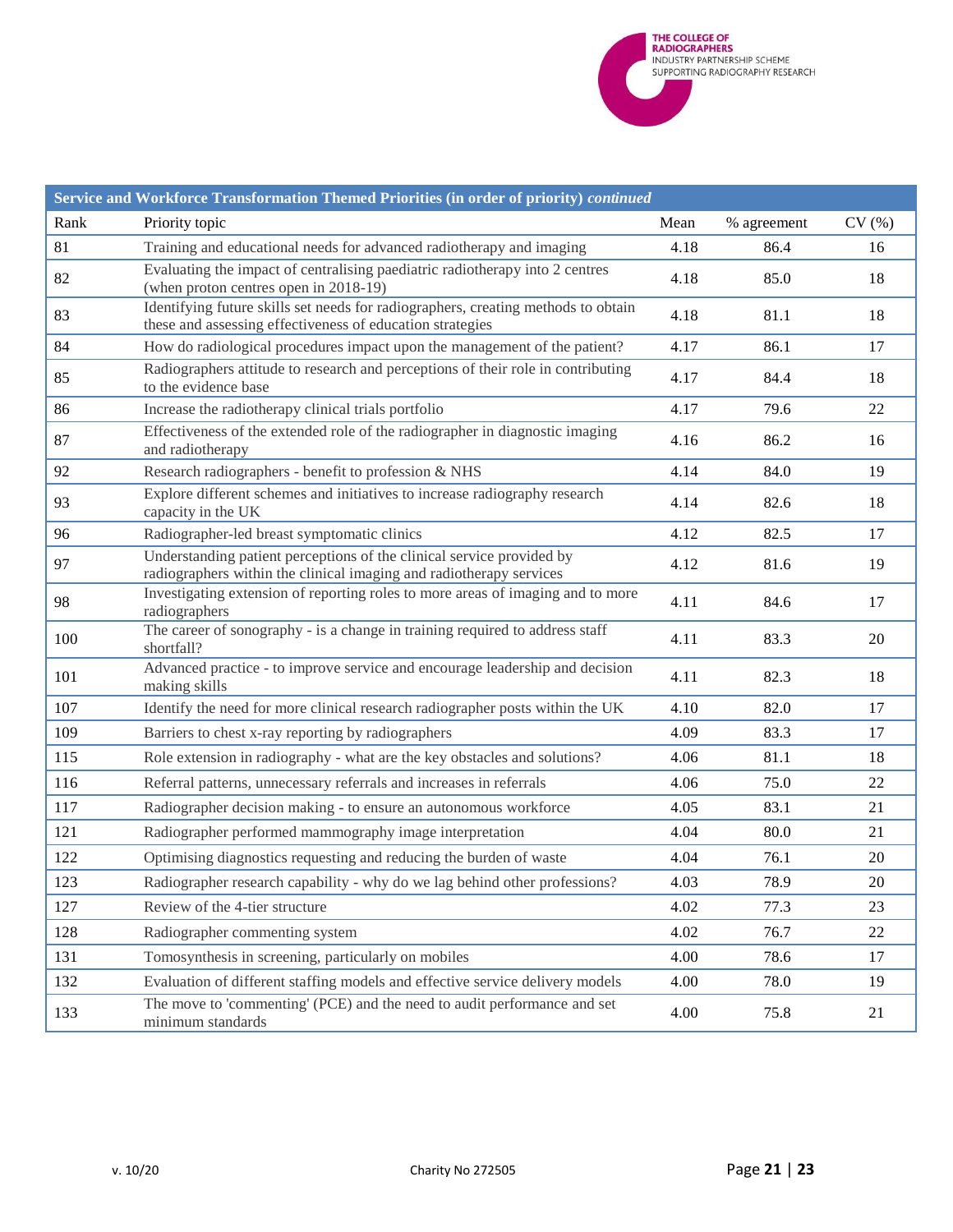

| Service and Workforce Transformation Themed Priorities (in order of priority) continued |                                                                                                                                                |      |             |       |  |  |
|-----------------------------------------------------------------------------------------|------------------------------------------------------------------------------------------------------------------------------------------------|------|-------------|-------|--|--|
| Rank                                                                                    | Priority topic                                                                                                                                 | Mean | % agreement | CV(%) |  |  |
| 81                                                                                      | Training and educational needs for advanced radiotherapy and imaging                                                                           | 4.18 | 86.4        | 16    |  |  |
| 82                                                                                      | Evaluating the impact of centralising paediatric radiotherapy into 2 centres<br>(when proton centres open in 2018-19)                          | 4.18 | 85.0        | 18    |  |  |
| 83                                                                                      | Identifying future skills set needs for radiographers, creating methods to obtain<br>these and assessing effectiveness of education strategies | 4.18 | 81.1        | 18    |  |  |
| 84                                                                                      | How do radiological procedures impact upon the management of the patient?                                                                      | 4.17 | 86.1        | 17    |  |  |
| 85                                                                                      | Radiographers attitude to research and perceptions of their role in contributing<br>to the evidence base                                       | 4.17 | 84.4        | 18    |  |  |
| 86                                                                                      | Increase the radiotherapy clinical trials portfolio                                                                                            | 4.17 | 79.6        | 22    |  |  |
| 87                                                                                      | Effectiveness of the extended role of the radiographer in diagnostic imaging<br>and radiotherapy                                               | 4.16 | 86.2        | 16    |  |  |
| 92                                                                                      | Research radiographers - benefit to profession & NHS                                                                                           | 4.14 | 84.0        | 19    |  |  |
| 93                                                                                      | Explore different schemes and initiatives to increase radiography research<br>capacity in the UK                                               | 4.14 | 82.6        | 18    |  |  |
| 96                                                                                      | Radiographer-led breast symptomatic clinics                                                                                                    | 4.12 | 82.5        | 17    |  |  |
| 97                                                                                      | Understanding patient perceptions of the clinical service provided by<br>radiographers within the clinical imaging and radiotherapy services   | 4.12 | 81.6        | 19    |  |  |
| 98                                                                                      | Investigating extension of reporting roles to more areas of imaging and to more<br>radiographers                                               | 4.11 | 84.6        | 17    |  |  |
| 100                                                                                     | The career of sonography - is a change in training required to address staff<br>shortfall?                                                     | 4.11 | 83.3        | 20    |  |  |
| 101                                                                                     | Advanced practice - to improve service and encourage leadership and decision<br>making skills                                                  | 4.11 | 82.3        | 18    |  |  |
| 107                                                                                     | Identify the need for more clinical research radiographer posts within the UK                                                                  | 4.10 | 82.0        | 17    |  |  |
| 109                                                                                     | Barriers to chest x-ray reporting by radiographers                                                                                             | 4.09 | 83.3        | 17    |  |  |
| 115                                                                                     | Role extension in radiography - what are the key obstacles and solutions?                                                                      | 4.06 | 81.1        | 18    |  |  |
| 116                                                                                     | Referral patterns, unnecessary referrals and increases in referrals                                                                            | 4.06 | 75.0        | 22    |  |  |
| 117                                                                                     | Radiographer decision making - to ensure an autonomous workforce                                                                               | 4.05 | 83.1        | 21    |  |  |
| 121                                                                                     | Radiographer performed mammography image interpretation                                                                                        | 4.04 | 80.0        | 21    |  |  |
| 122                                                                                     | Optimising diagnostics requesting and reducing the burden of waste                                                                             | 4.04 | 76.1        | 20    |  |  |
| 123                                                                                     | Radiographer research capability - why do we lag behind other professions?                                                                     | 4.03 | 78.9        | 20    |  |  |
| 127                                                                                     | Review of the 4-tier structure                                                                                                                 | 4.02 | 77.3        | 23    |  |  |
| 128                                                                                     | Radiographer commenting system                                                                                                                 | 4.02 | 76.7        | 22    |  |  |
| 131                                                                                     | Tomosynthesis in screening, particularly on mobiles                                                                                            | 4.00 | 78.6        | 17    |  |  |
| 132                                                                                     | Evaluation of different staffing models and effective service delivery models                                                                  | 4.00 | 78.0        | 19    |  |  |
| 133                                                                                     | The move to 'commenting' (PCE) and the need to audit performance and set<br>minimum standards                                                  | 4.00 | 75.8        | 21    |  |  |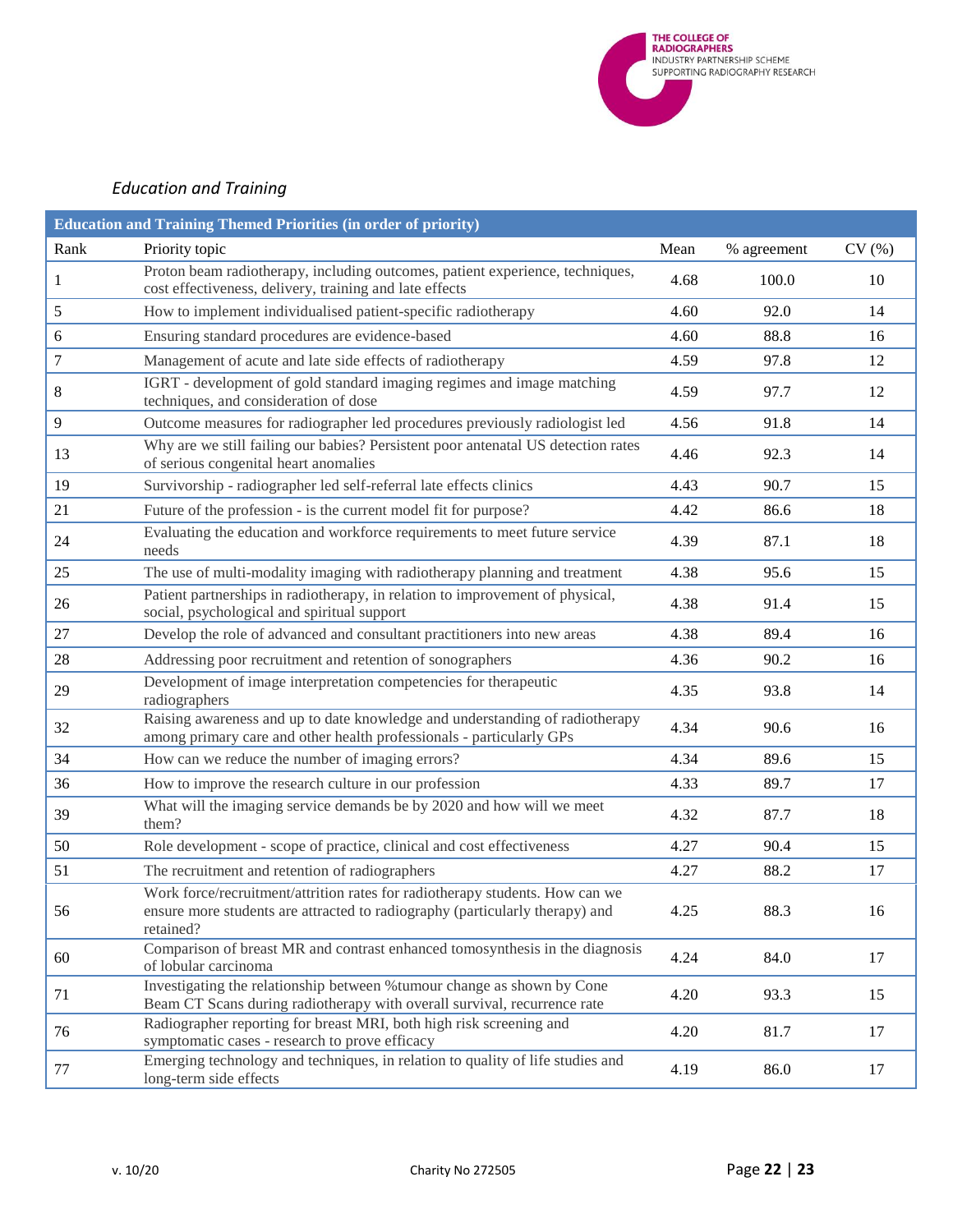

# <span id="page-21-0"></span>*Education and Training*

| <b>Education and Training Themed Priorities (in order of priority)</b> |                                                                                                                                                                           |      |             |       |  |  |  |
|------------------------------------------------------------------------|---------------------------------------------------------------------------------------------------------------------------------------------------------------------------|------|-------------|-------|--|--|--|
| Rank                                                                   | Priority topic                                                                                                                                                            | Mean | % agreement | CV(%) |  |  |  |
| 1                                                                      | Proton beam radiotherapy, including outcomes, patient experience, techniques,<br>cost effectiveness, delivery, training and late effects                                  | 4.68 | 100.0       | 10    |  |  |  |
| 5                                                                      | How to implement individualised patient-specific radiotherapy                                                                                                             | 4.60 | 92.0        | 14    |  |  |  |
| 6                                                                      | Ensuring standard procedures are evidence-based                                                                                                                           | 4.60 | 88.8        | 16    |  |  |  |
| 7                                                                      | Management of acute and late side effects of radiotherapy                                                                                                                 | 4.59 | 97.8        | 12    |  |  |  |
| 8                                                                      | IGRT - development of gold standard imaging regimes and image matching<br>techniques, and consideration of dose                                                           | 4.59 | 97.7        | 12    |  |  |  |
| 9                                                                      | Outcome measures for radiographer led procedures previously radiologist led                                                                                               | 4.56 | 91.8        | 14    |  |  |  |
| 13                                                                     | Why are we still failing our babies? Persistent poor antenatal US detection rates<br>of serious congenital heart anomalies                                                | 4.46 | 92.3        | 14    |  |  |  |
| 19                                                                     | Survivorship - radiographer led self-referral late effects clinics                                                                                                        | 4.43 | 90.7        | 15    |  |  |  |
| 21                                                                     | Future of the profession - is the current model fit for purpose?                                                                                                          | 4.42 | 86.6        | 18    |  |  |  |
| 24                                                                     | Evaluating the education and workforce requirements to meet future service<br>needs                                                                                       | 4.39 | 87.1        | 18    |  |  |  |
| 25                                                                     | The use of multi-modality imaging with radiotherapy planning and treatment                                                                                                | 4.38 | 95.6        | 15    |  |  |  |
| 26                                                                     | Patient partnerships in radiotherapy, in relation to improvement of physical,<br>social, psychological and spiritual support                                              | 4.38 | 91.4        | 15    |  |  |  |
| 27                                                                     | Develop the role of advanced and consultant practitioners into new areas                                                                                                  | 4.38 | 89.4        | 16    |  |  |  |
| 28                                                                     | Addressing poor recruitment and retention of sonographers                                                                                                                 | 4.36 | 90.2        | 16    |  |  |  |
| 29                                                                     | Development of image interpretation competencies for therapeutic<br>radiographers                                                                                         | 4.35 | 93.8        | 14    |  |  |  |
| 32                                                                     | Raising awareness and up to date knowledge and understanding of radiotherapy<br>among primary care and other health professionals - particularly GPs                      | 4.34 | 90.6        | 16    |  |  |  |
| 34                                                                     | How can we reduce the number of imaging errors?                                                                                                                           | 4.34 | 89.6        | 15    |  |  |  |
| 36                                                                     | How to improve the research culture in our profession                                                                                                                     | 4.33 | 89.7        | 17    |  |  |  |
| 39                                                                     | What will the imaging service demands be by 2020 and how will we meet<br>them?                                                                                            | 4.32 | 87.7        | 18    |  |  |  |
| 50                                                                     | Role development - scope of practice, clinical and cost effectiveness                                                                                                     | 4.27 | 90.4        | 15    |  |  |  |
| 51                                                                     | The recruitment and retention of radiographers                                                                                                                            | 4.27 | 88.2        | 17    |  |  |  |
| 56                                                                     | Work force/recruitment/attrition rates for radiotherapy students. How can we<br>ensure more students are attracted to radiography (particularly therapy) and<br>retained? | 4.25 | 88.3        | 16    |  |  |  |
| 60                                                                     | Comparison of breast MR and contrast enhanced tomosynthesis in the diagnosis<br>of lobular carcinoma                                                                      | 4.24 | 84.0        | 17    |  |  |  |
| 71                                                                     | Investigating the relationship between % tumour change as shown by Cone<br>Beam CT Scans during radiotherapy with overall survival, recurrence rate                       | 4.20 | 93.3        | 15    |  |  |  |
| 76                                                                     | Radiographer reporting for breast MRI, both high risk screening and<br>symptomatic cases - research to prove efficacy                                                     | 4.20 | 81.7        | 17    |  |  |  |
| 77                                                                     | Emerging technology and techniques, in relation to quality of life studies and<br>long-term side effects                                                                  | 4.19 | 86.0        | 17    |  |  |  |